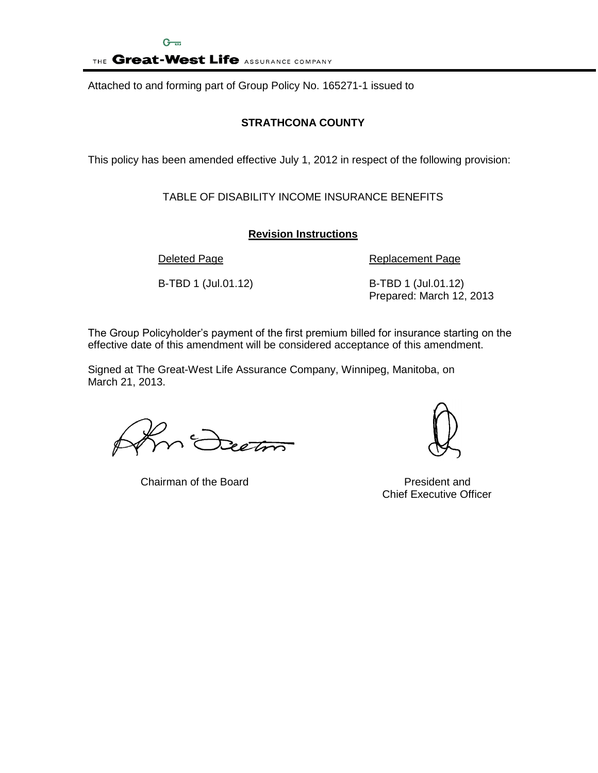THE Great-West Life ASSURANCE COMPANY

Attached to and forming part of Group Policy No. 165271-1 issued to

# **STRATHCONA COUNTY**

This policy has been amended effective July 1, 2012 in respect of the following provision:

TABLE OF DISABILITY INCOME INSURANCE BENEFITS

# **Revision Instructions**

Deleted Page **Replacement Page** 

B-TBD 1 (Jul.01.12) B-TBD 1 (Jul.01.12) Prepared: March 12, 2013

The Group Policyholder's payment of the first premium billed for insurance starting on the effective date of this amendment will be considered acceptance of this amendment.

Signed at The Great-West Life Assurance Company, Winnipeg, Manitoba, on March 21, 2013.

Section

Chairman of the Board **President** and



Chief Executive Officer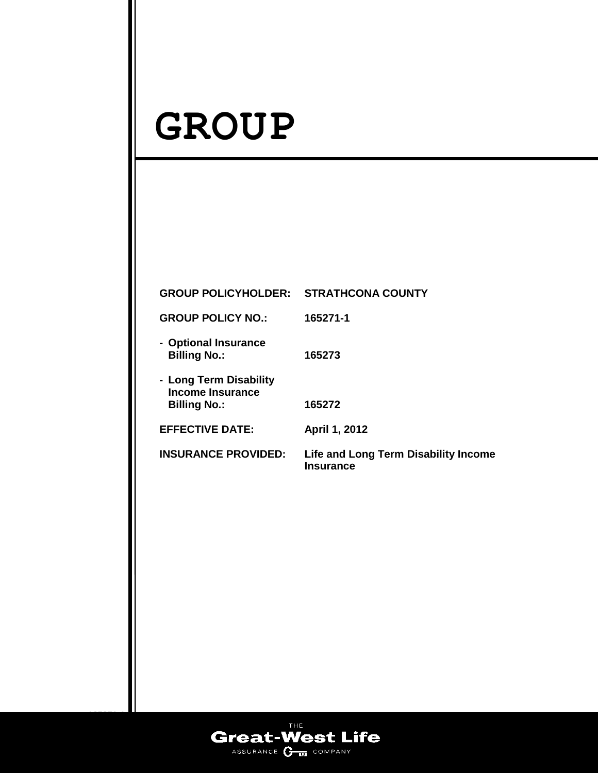# **GROUP**

| <b>GROUP POLICYHOLDER: STRATHCONA COUNTY</b>                             |                                                                 |
|--------------------------------------------------------------------------|-----------------------------------------------------------------|
| <b>GROUP POLICY NO.:</b>                                                 | 165271-1                                                        |
| - Optional Insurance<br><b>Billing No.:</b>                              | 165273                                                          |
| - Long Term Disability<br><b>Income Insurance</b><br><b>Billing No.:</b> | 165272                                                          |
| <b>EFFECTIVE DATE:</b>                                                   | April 1, 2012                                                   |
| <b>INSURANCE PROVIDED:</b>                                               | <b>Life and Long Term Disability Income</b><br><b>Insurance</b> |
|                                                                          |                                                                 |
|                                                                          |                                                                 |
|                                                                          |                                                                 |
|                                                                          |                                                                 |

**INSURANCE** 



**165271-1**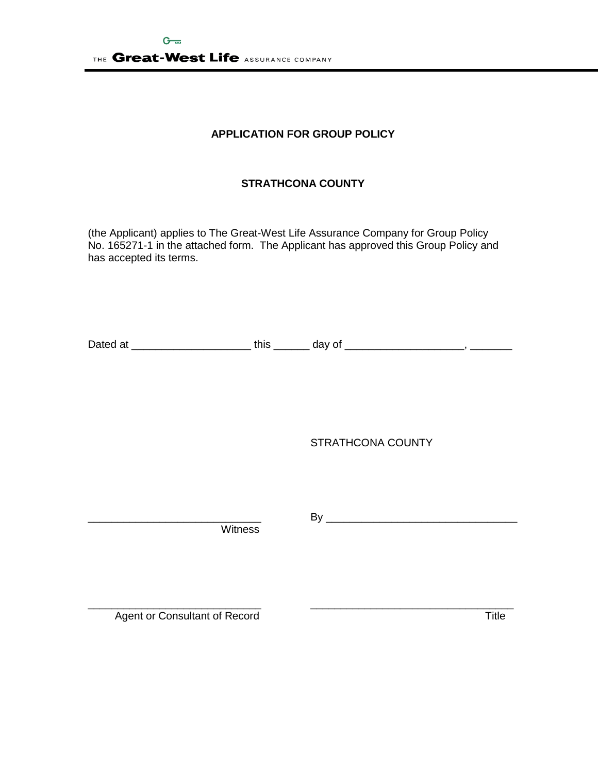# **APPLICATION FOR GROUP POLICY**

# **STRATHCONA COUNTY**

(the Applicant) applies to The Great-West Life Assurance Company for Group Policy No. 165271-1 in the attached form. The Applicant has approved this Group Policy and has accepted its terms.

Dated at \_\_\_\_\_\_\_\_\_\_\_\_\_\_\_\_\_\_\_\_ this \_\_\_\_\_\_ day of \_\_\_\_\_\_\_\_\_\_\_\_\_\_\_\_\_\_\_\_, \_\_\_\_\_\_\_

STRATHCONA COUNTY

Witness

\_\_\_\_\_\_\_\_\_\_\_\_\_\_\_\_\_\_\_\_\_\_\_\_\_\_\_\_\_ By \_\_\_\_\_\_\_\_\_\_\_\_\_\_\_\_\_\_\_\_\_\_\_\_\_\_\_\_\_\_\_\_

\_\_\_\_\_\_\_\_\_\_\_\_\_\_\_\_\_\_\_\_\_\_\_\_\_\_\_\_\_ \_\_\_\_\_\_\_\_\_\_\_\_\_\_\_\_\_\_\_\_\_\_\_\_\_\_\_\_\_\_\_\_\_\_ Agent or Consultant of Record Title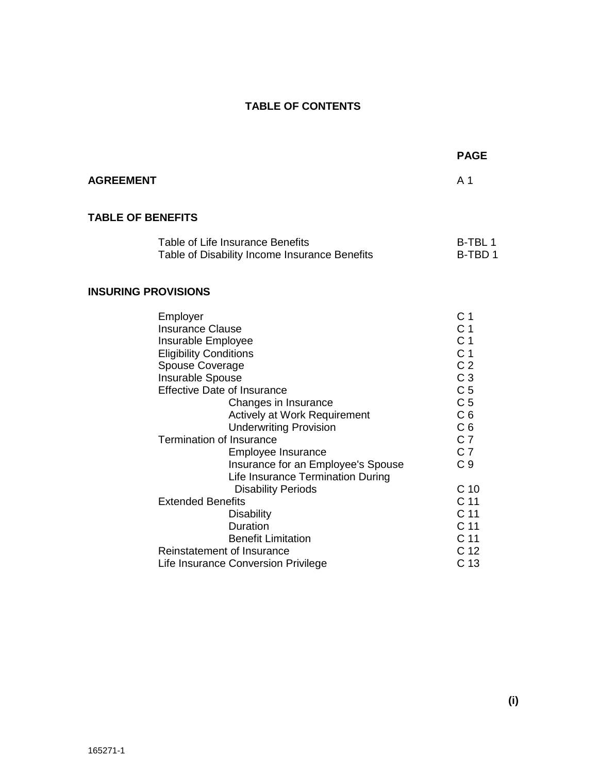# **TABLE OF CONTENTS**

|                            |                                                                                                                                                                                                                                                                                                                                                                                                                                                               | <b>PAGE</b>                                                                                                                                                                                                                                                                  |  |
|----------------------------|---------------------------------------------------------------------------------------------------------------------------------------------------------------------------------------------------------------------------------------------------------------------------------------------------------------------------------------------------------------------------------------------------------------------------------------------------------------|------------------------------------------------------------------------------------------------------------------------------------------------------------------------------------------------------------------------------------------------------------------------------|--|
| <b>AGREEMENT</b>           |                                                                                                                                                                                                                                                                                                                                                                                                                                                               | A <sub>1</sub>                                                                                                                                                                                                                                                               |  |
| <b>TABLE OF BENEFITS</b>   |                                                                                                                                                                                                                                                                                                                                                                                                                                                               |                                                                                                                                                                                                                                                                              |  |
|                            | Table of Life Insurance Benefits<br>Table of Disability Income Insurance Benefits                                                                                                                                                                                                                                                                                                                                                                             | B-TBL 1<br>B-TBD 1                                                                                                                                                                                                                                                           |  |
| <b>INSURING PROVISIONS</b> |                                                                                                                                                                                                                                                                                                                                                                                                                                                               |                                                                                                                                                                                                                                                                              |  |
|                            | Employer<br><b>Insurance Clause</b><br>Insurable Employee<br><b>Eligibility Conditions</b><br>Spouse Coverage<br>Insurable Spouse<br><b>Effective Date of Insurance</b><br>Changes in Insurance<br>Actively at Work Requirement<br><b>Underwriting Provision</b><br><b>Termination of Insurance</b><br>Employee Insurance<br>Insurance for an Employee's Spouse<br>Life Insurance Termination During<br><b>Disability Periods</b><br><b>Extended Benefits</b> | C <sub>1</sub><br>C <sub>1</sub><br>C <sub>1</sub><br>C <sub>1</sub><br>C <sub>2</sub><br>C <sub>3</sub><br>C <sub>5</sub><br>C <sub>5</sub><br>C <sub>6</sub><br>C <sub>6</sub><br>C <sub>7</sub><br>C <sub>7</sub><br>C <sub>9</sub><br>C <sub>10</sub><br>C <sub>11</sub> |  |
|                            | <b>Disability</b><br>Duration<br><b>Benefit Limitation</b><br>Reinstatement of Insurance<br>Life Insurance Conversion Privilege                                                                                                                                                                                                                                                                                                                               | C 11<br>C 11<br>C <sub>11</sub><br>C <sub>12</sub><br>C 13                                                                                                                                                                                                                   |  |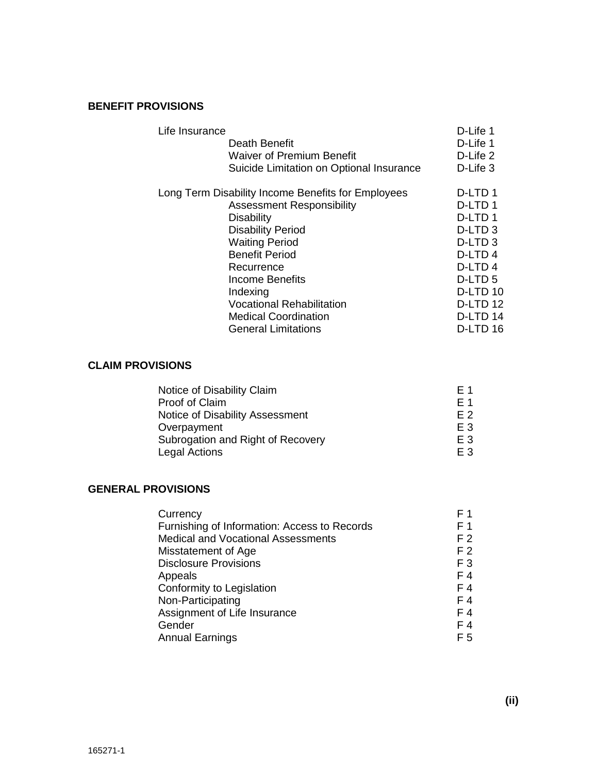# **BENEFIT PROVISIONS**

| Life Insurance |                                                    | D-Life 1            |
|----------------|----------------------------------------------------|---------------------|
|                | Death Benefit                                      | D-Life 1            |
|                | <b>Waiver of Premium Benefit</b>                   | D-Life 2            |
|                | Suicide Limitation on Optional Insurance           | D-Life 3            |
|                | Long Term Disability Income Benefits for Employees | D-LTD <sub>1</sub>  |
|                | <b>Assessment Responsibility</b>                   | D-LTD 1             |
|                | <b>Disability</b>                                  | D-LTD 1             |
|                | <b>Disability Period</b>                           | D-LTD <sub>3</sub>  |
|                | <b>Waiting Period</b>                              | D-LTD <sub>3</sub>  |
|                | <b>Benefit Period</b>                              | D-LTD4              |
|                | Recurrence                                         | D-LTD <sub>4</sub>  |
|                | Income Benefits                                    | D-LTD 5             |
|                | Indexing                                           | D-LTD <sub>10</sub> |
|                | <b>Vocational Rehabilitation</b>                   | D-LTD <sub>12</sub> |
|                | <b>Medical Coordination</b>                        | D-LTD <sub>14</sub> |
|                | <b>General Limitations</b>                         | D-LTD 16            |
|                |                                                    |                     |

#### **CLAIM PROVISIONS**

| Notice of Disability Claim        | F 1            |
|-----------------------------------|----------------|
| Proof of Claim                    | F 1            |
| Notice of Disability Assessment   | F 2            |
| Overpayment                       | E <sub>3</sub> |
| Subrogation and Right of Recovery | E <sub>3</sub> |
| <b>Legal Actions</b>              | F 3            |

# **GENERAL PROVISIONS**

| Currency                                     | F 1            |
|----------------------------------------------|----------------|
| Furnishing of Information: Access to Records | F 1            |
| <b>Medical and Vocational Assessments</b>    | F <sub>2</sub> |
| Misstatement of Age                          | F <sub>2</sub> |
| <b>Disclosure Provisions</b>                 | F <sub>3</sub> |
| Appeals                                      | F 4            |
| Conformity to Legislation                    | F 4            |
| Non-Participating                            | F 4            |
| Assignment of Life Insurance                 | F 4            |
| Gender                                       | F 4            |
| <b>Annual Earnings</b>                       | F 5            |
|                                              |                |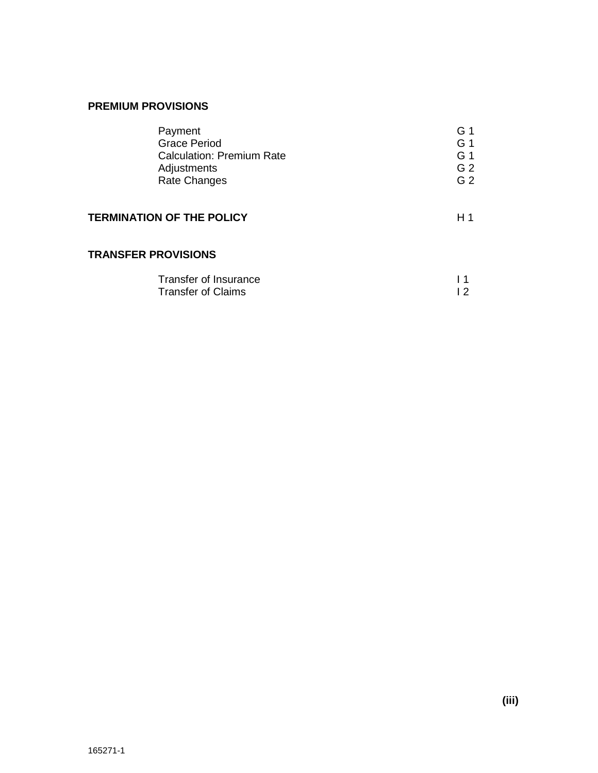| Payment                          | G 1            |
|----------------------------------|----------------|
| <b>Grace Period</b>              | G 1            |
| <b>Calculation: Premium Rate</b> | G 1            |
| Adjustments                      | G <sub>2</sub> |
| <b>Rate Changes</b>              | G 2            |
| <b>TERMINATION OF THE POLICY</b> | H 1            |
| <b>TRANSFER PROVISIONS</b>       |                |
|                                  |                |

| Transfer of Insurance     |  |
|---------------------------|--|
| <b>Transfer of Claims</b> |  |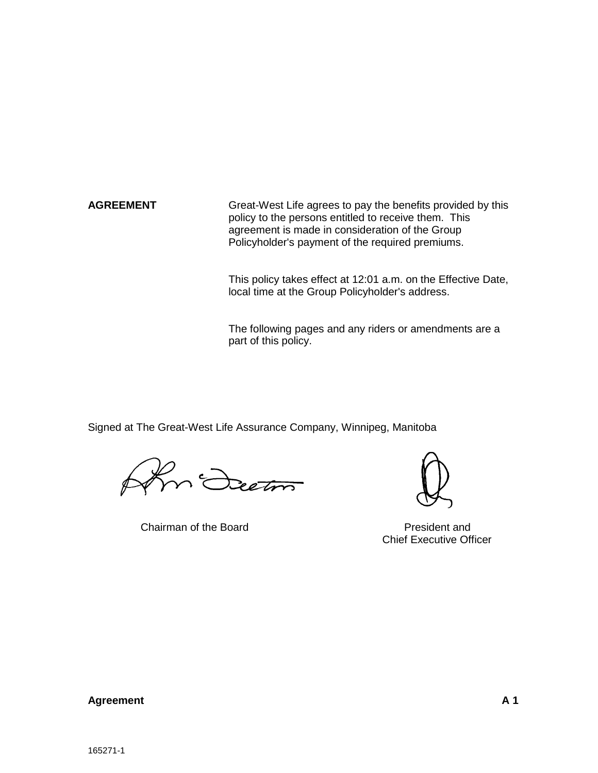**AGREEMENT** Great-West Life agrees to pay the benefits provided by this policy to the persons entitled to receive them. This agreement is made in consideration of the Group Policyholder's payment of the required premiums.

> This policy takes effect at 12:01 a.m. on the Effective Date, local time at the Group Policyholder's address.

The following pages and any riders or amendments are a part of this policy.

Signed at The Great-West Life Assurance Company, Winnipeg, Manitoba

n <del>Deeton</del>

Chairman of the Board **President** and



Chief Executive Officer

### **Agreement A 1**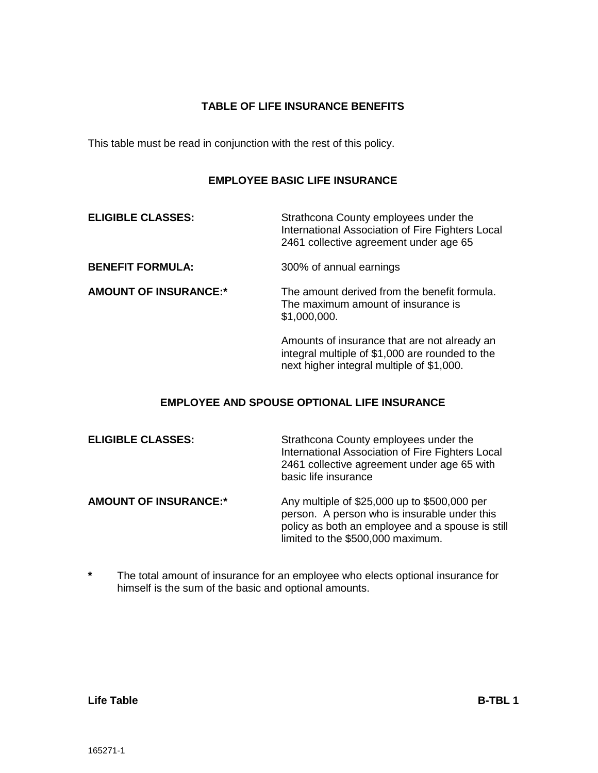# **TABLE OF LIFE INSURANCE BENEFITS**

This table must be read in conjunction with the rest of this policy.

# **EMPLOYEE BASIC LIFE INSURANCE**

| <b>ELIGIBLE CLASSES:</b>     | Strathcona County employees under the<br>International Association of Fire Fighters Local<br>2461 collective agreement under age 65          |
|------------------------------|----------------------------------------------------------------------------------------------------------------------------------------------|
| <b>BENEFIT FORMULA:</b>      | 300% of annual earnings                                                                                                                      |
| <b>AMOUNT OF INSURANCE:*</b> | The amount derived from the benefit formula.<br>The maximum amount of insurance is<br>\$1,000,000.                                           |
|                              | Amounts of insurance that are not already an<br>integral multiple of \$1,000 are rounded to the<br>next higher integral multiple of \$1,000. |

# **EMPLOYEE AND SPOUSE OPTIONAL LIFE INSURANCE**

| <b>ELIGIBLE CLASSES:</b>     | Strathcona County employees under the<br>International Association of Fire Fighters Local<br>2461 collective agreement under age 65 with<br>basic life insurance                      |
|------------------------------|---------------------------------------------------------------------------------------------------------------------------------------------------------------------------------------|
| <b>AMOUNT OF INSURANCE:*</b> | Any multiple of \$25,000 up to \$500,000 per<br>person. A person who is insurable under this<br>policy as both an employee and a spouse is still<br>limited to the \$500,000 maximum. |

**\*** The total amount of insurance for an employee who elects optional insurance for himself is the sum of the basic and optional amounts.

**Life Table B-TBL 1**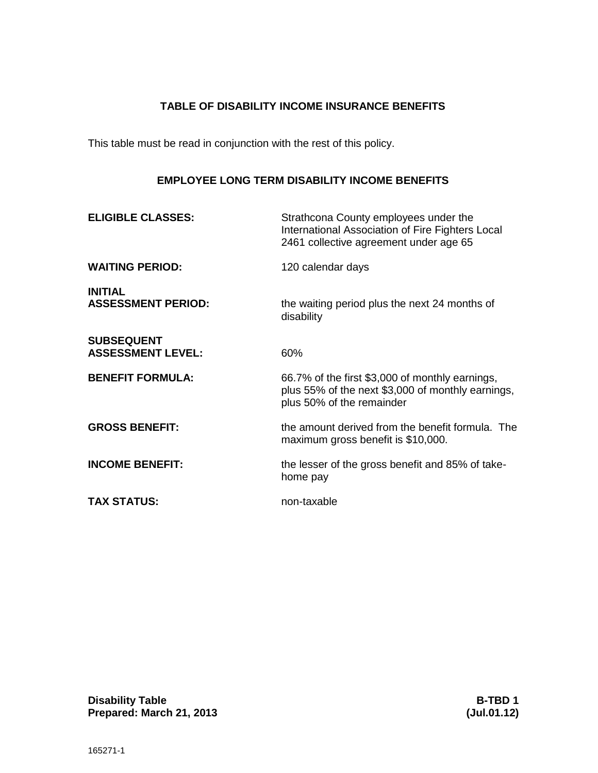# **TABLE OF DISABILITY INCOME INSURANCE BENEFITS**

This table must be read in conjunction with the rest of this policy.

# **EMPLOYEE LONG TERM DISABILITY INCOME BENEFITS**

| <b>ELIGIBLE CLASSES:</b>                      | Strathcona County employees under the<br>International Association of Fire Fighters Local<br>2461 collective agreement under age 65 |
|-----------------------------------------------|-------------------------------------------------------------------------------------------------------------------------------------|
| <b>WAITING PERIOD:</b>                        | 120 calendar days                                                                                                                   |
| <b>INITIAL</b><br><b>ASSESSMENT PERIOD:</b>   | the waiting period plus the next 24 months of<br>disability                                                                         |
| <b>SUBSEQUENT</b><br><b>ASSESSMENT LEVEL:</b> | 60%                                                                                                                                 |
| <b>BENEFIT FORMULA:</b>                       | 66.7% of the first \$3,000 of monthly earnings,<br>plus 55% of the next \$3,000 of monthly earnings,<br>plus 50% of the remainder   |
| <b>GROSS BENEFIT:</b>                         | the amount derived from the benefit formula. The<br>maximum gross benefit is \$10,000.                                              |
| <b>INCOME BENEFIT:</b>                        | the lesser of the gross benefit and 85% of take-<br>home pay                                                                        |
| <b>TAX STATUS:</b>                            | non-taxable                                                                                                                         |

**Disability Table B-TBD 1**<br> **Prepared: March 21, 2013 Contract Contract Contract Contract Contract Contract Contract Contract Contract Contract Contract Contract Contract Contract Contract Contract Contract Contract Co**  $Prepared: March 21, 2013$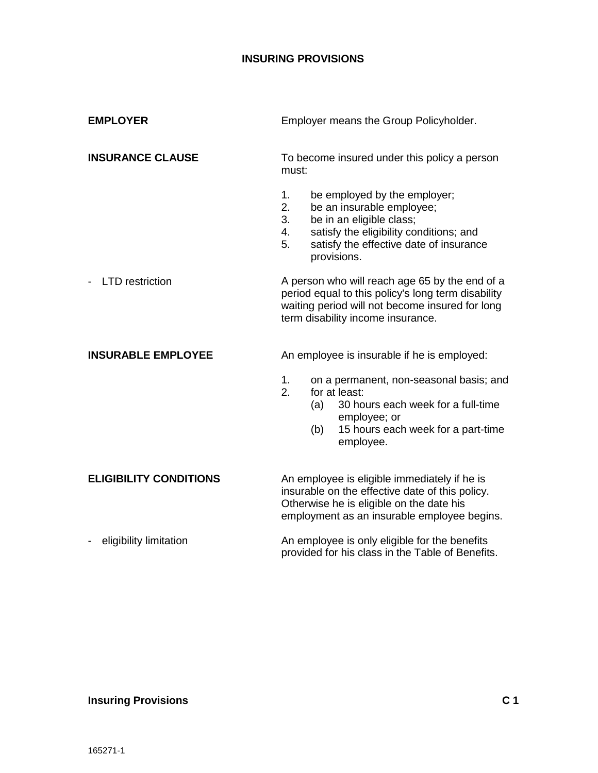<span id="page-9-3"></span><span id="page-9-2"></span><span id="page-9-1"></span><span id="page-9-0"></span>

| <b>EMPLOYER</b>               | Employer means the Group Policyholder.                                                                                                                                                                                   |
|-------------------------------|--------------------------------------------------------------------------------------------------------------------------------------------------------------------------------------------------------------------------|
| <b>INSURANCE CLAUSE</b>       | To become insured under this policy a person<br>must:                                                                                                                                                                    |
|                               | be employed by the employer;<br>1.<br>2.<br>be an insurable employee;<br>3.<br>be in an eligible class;<br>satisfy the eligibility conditions; and<br>4.<br>5.<br>satisfy the effective date of insurance<br>provisions. |
| <b>LTD</b> restriction        | A person who will reach age 65 by the end of a<br>period equal to this policy's long term disability<br>waiting period will not become insured for long<br>term disability income insurance.                             |
| <b>INSURABLE EMPLOYEE</b>     | An employee is insurable if he is employed:                                                                                                                                                                              |
|                               | 1.<br>on a permanent, non-seasonal basis; and<br>for at least:<br>2.<br>30 hours each week for a full-time<br>(a)<br>employee; or<br>15 hours each week for a part-time<br>(b)<br>employee.                              |
| <b>ELIGIBILITY CONDITIONS</b> | An employee is eligible immediately if he is<br>insurable on the effective date of this policy.<br>Otherwise he is eligible on the date his<br>employment as an insurable employee begins.                               |
| eligibility limitation        | An employee is only eligible for the benefits<br>provided for his class in the Table of Benefits.                                                                                                                        |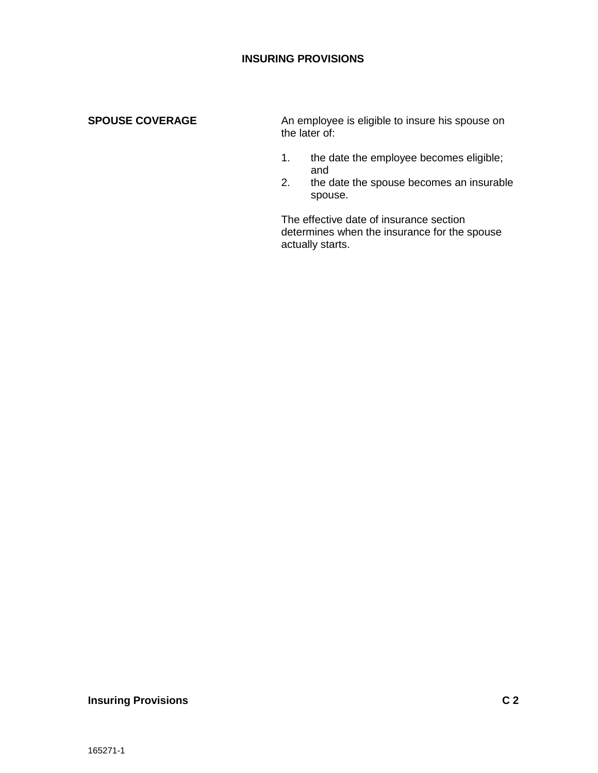# <span id="page-10-0"></span>**SPOUSE COVERAGE**

An employee is eligible to insure his spouse on the later of:

- 1. the date the employee becomes eligible; and
- 2. the date the spouse becomes an insurable spouse.

The effective date of insurance section determines when the insurance for the spouse actually starts.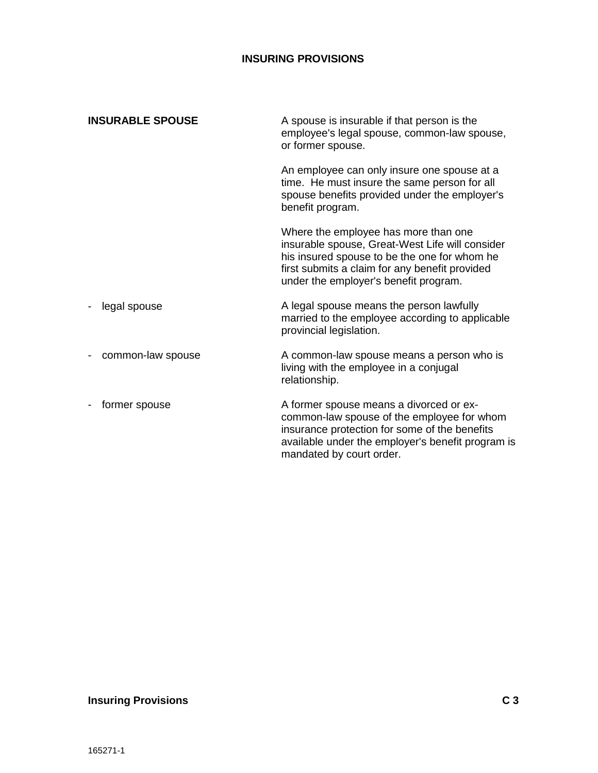<span id="page-11-0"></span>

| <b>INSURABLE SPOUSE</b> | A spouse is insurable if that person is the<br>employee's legal spouse, common-law spouse,<br>or former spouse.                                                                                                                    |
|-------------------------|------------------------------------------------------------------------------------------------------------------------------------------------------------------------------------------------------------------------------------|
|                         | An employee can only insure one spouse at a<br>time. He must insure the same person for all<br>spouse benefits provided under the employer's<br>benefit program.                                                                   |
|                         | Where the employee has more than one<br>insurable spouse, Great-West Life will consider<br>his insured spouse to be the one for whom he<br>first submits a claim for any benefit provided<br>under the employer's benefit program. |
| legal spouse            | A legal spouse means the person lawfully<br>married to the employee according to applicable<br>provincial legislation.                                                                                                             |
| common-law spouse       | A common-law spouse means a person who is<br>living with the employee in a conjugal<br>relationship.                                                                                                                               |
| former spouse           | A former spouse means a divorced or ex-<br>common-law spouse of the employee for whom<br>insurance protection for some of the benefits<br>available under the employer's benefit program is<br>mandated by court order.            |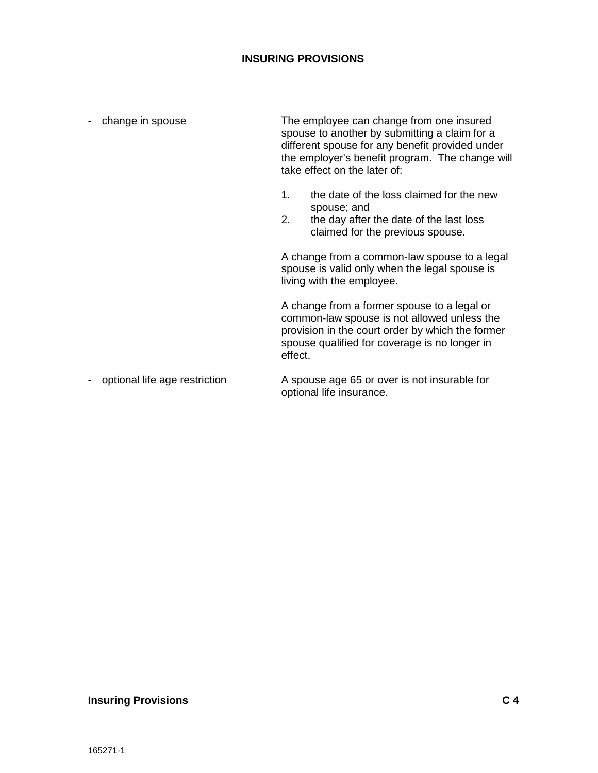| change in spouse              | The employee can change from one insured<br>spouse to another by submitting a claim for a<br>different spouse for any benefit provided under<br>the employer's benefit program. The change will<br>take effect on the later of: |                                                                                                                                                                                                 |
|-------------------------------|---------------------------------------------------------------------------------------------------------------------------------------------------------------------------------------------------------------------------------|-------------------------------------------------------------------------------------------------------------------------------------------------------------------------------------------------|
|                               | 1.<br>2.                                                                                                                                                                                                                        | the date of the loss claimed for the new<br>spouse; and<br>the day after the date of the last loss<br>claimed for the previous spouse.                                                          |
|                               |                                                                                                                                                                                                                                 | A change from a common-law spouse to a legal<br>spouse is valid only when the legal spouse is<br>living with the employee.                                                                      |
|                               | effect.                                                                                                                                                                                                                         | A change from a former spouse to a legal or<br>common-law spouse is not allowed unless the<br>provision in the court order by which the former<br>spouse qualified for coverage is no longer in |
| optional life age restriction |                                                                                                                                                                                                                                 | A spouse age 65 or over is not insurable for<br>optional life insurance.                                                                                                                        |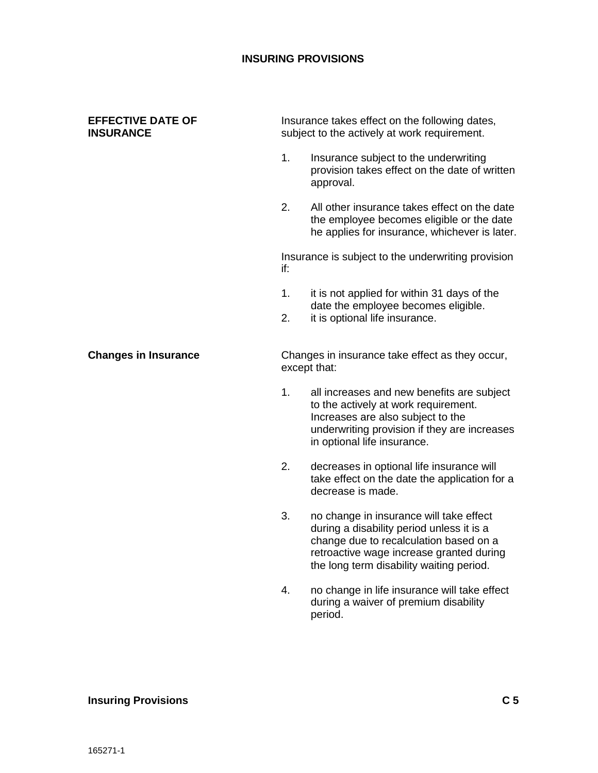#### <span id="page-13-0"></span>**EFFECTIVE DATE OF INSURANCE**

Insurance takes effect on the following dates, subject to the actively at work requirement.

- 1. Insurance subject to the underwriting provision takes effect on the date of written approval.
- 2. All other insurance takes effect on the date the employee becomes eligible or the date he applies for insurance, whichever is later.

Insurance is subject to the underwriting provision if:

- 1. it is not applied for within 31 days of the date the employee becomes eligible.
- 2. it is optional life insurance.

<span id="page-13-1"></span>**Changes in Insurance**

Changes in insurance take effect as they occur, except that:

- 1. all increases and new benefits are subject to the actively at work requirement. Increases are also subject to the underwriting provision if they are increases in optional life insurance.
- 2. decreases in optional life insurance will take effect on the date the application for a decrease is made.
- 3. no change in insurance will take effect during a disability period unless it is a change due to recalculation based on a retroactive wage increase granted during the long term disability waiting period.
- 4. no change in life insurance will take effect during a waiver of premium disability period.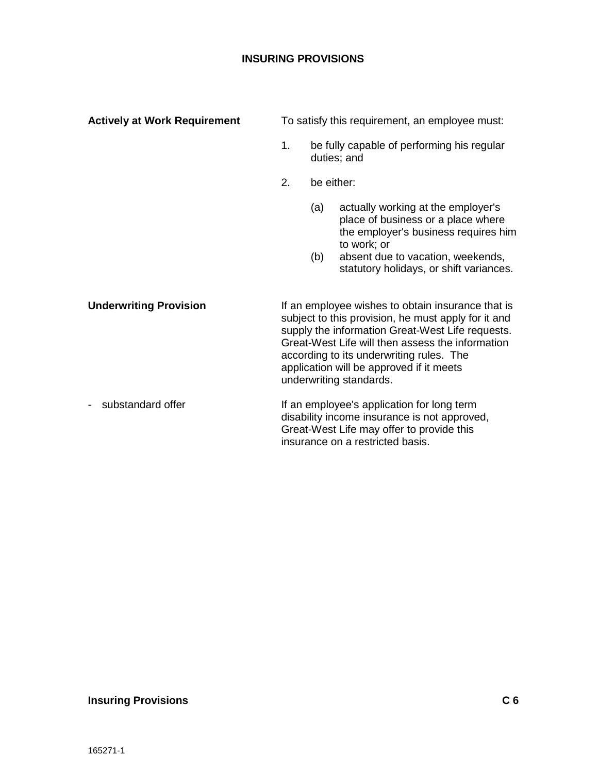<span id="page-14-1"></span><span id="page-14-0"></span>

| <b>Actively at Work Requirement</b> | To satisfy this requirement, an employee must: |            |                                                                                                                                                                                                                                                                                                                                     |
|-------------------------------------|------------------------------------------------|------------|-------------------------------------------------------------------------------------------------------------------------------------------------------------------------------------------------------------------------------------------------------------------------------------------------------------------------------------|
|                                     | 1.                                             |            | be fully capable of performing his regular<br>duties; and                                                                                                                                                                                                                                                                           |
|                                     | 2.                                             |            | be either:                                                                                                                                                                                                                                                                                                                          |
|                                     |                                                | (a)<br>(b) | actually working at the employer's<br>place of business or a place where<br>the employer's business requires him<br>to work; or<br>absent due to vacation, weekends,<br>statutory holidays, or shift variances.                                                                                                                     |
| <b>Underwriting Provision</b>       |                                                |            | If an employee wishes to obtain insurance that is<br>subject to this provision, he must apply for it and<br>supply the information Great-West Life requests.<br>Great-West Life will then assess the information<br>according to its underwriting rules. The<br>application will be approved if it meets<br>underwriting standards. |
| substandard offer<br>$\blacksquare$ |                                                |            | If an employee's application for long term<br>disability income insurance is not approved,<br>Great-West Life may offer to provide this<br>insurance on a restricted basis.                                                                                                                                                         |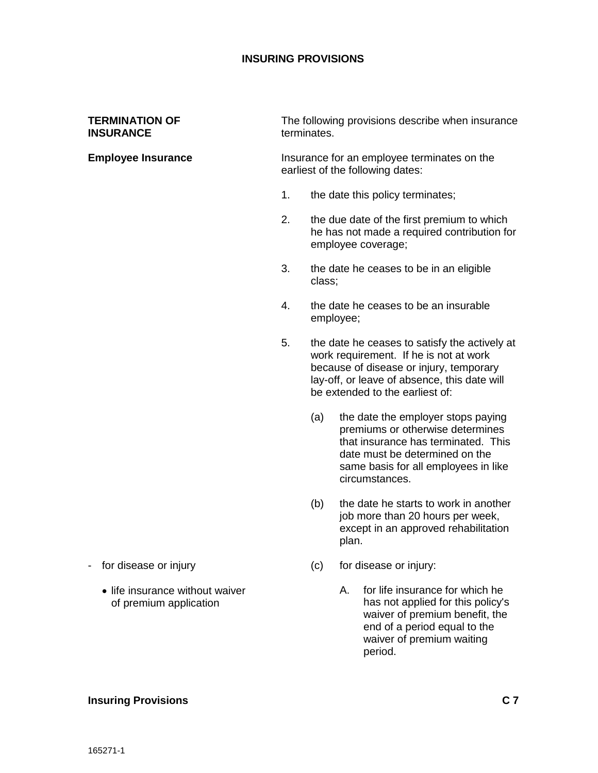#### <span id="page-15-0"></span>**TERMINATION OF INSURANCE**

#### <span id="page-15-1"></span>**Employee Insurance**

The following provisions describe when insurance terminates.

Insurance for an employee terminates on the earliest of the following dates:

- 1. the date this policy terminates;
- 2. the due date of the first premium to which he has not made a required contribution for employee coverage;
- 3. the date he ceases to be in an eligible class;
- 4. the date he ceases to be an insurable employee;
- 5. the date he ceases to satisfy the actively at work requirement. If he is not at work because of disease or injury, temporary lay-off, or leave of absence, this date will be extended to the earliest of:
	- (a) the date the employer stops paying premiums or otherwise determines that insurance has terminated. This date must be determined on the same basis for all employees in like circumstances.
	- (b) the date he starts to work in another job more than 20 hours per week, except in an approved rehabilitation plan.
	- (c) for disease or injury:
		- A. for life insurance for which he has not applied for this policy's waiver of premium benefit, the end of a period equal to the waiver of premium waiting period.
- for disease or injury
	- life insurance without waiver of premium application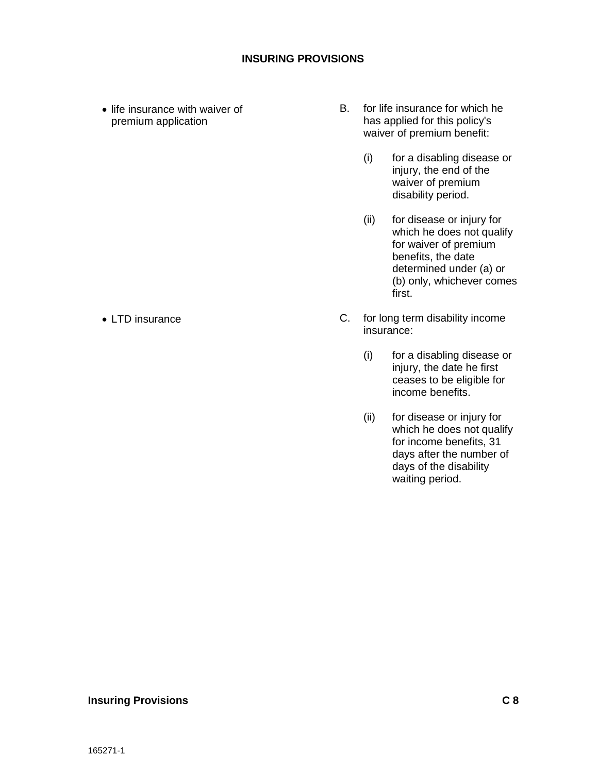• life insurance with waiver of premium application

- B. for life insurance for which he has applied for this policy's waiver of premium benefit:
	- (i) for a disabling disease or injury, the end of the waiver of premium disability period.
	- (ii) for disease or injury for which he does not qualify for waiver of premium benefits, the date determined under (a) or (b) only, whichever comes first.
- C. for long term disability income insurance:
	- (i) for a disabling disease or injury, the date he first ceases to be eligible for income benefits.
	- (ii) for disease or injury for which he does not qualify for income benefits, 31 days after the number of days of the disability waiting period.

#### • LTD insurance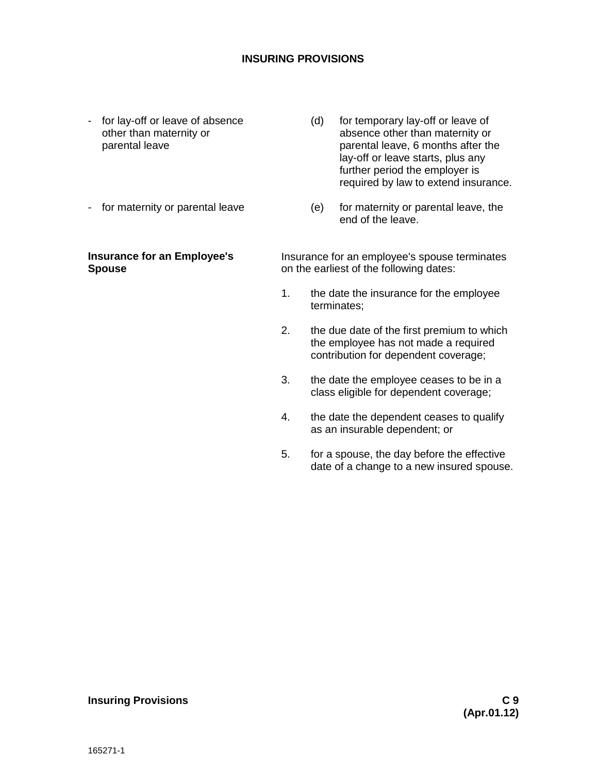- for lay-off or leave of absence other than maternity or parental leave
- for maternity or parental leave

#### <span id="page-17-0"></span>**Insurance for an Employee's Spouse**

- (d) for temporary lay-off or leave of absence other than maternity or parental leave, 6 months after the lay-off or leave starts, plus any further period the employer is required by law to extend insurance.
- (e) for maternity or parental leave, the end of the leave.

Insurance for an employee's spouse terminates on the earliest of the following dates:

- 1. the date the insurance for the employee terminates;
- 2. the due date of the first premium to which the employee has not made a required contribution for dependent coverage;
- 3. the date the employee ceases to be in a class eligible for dependent coverage;
- 4. the date the dependent ceases to qualify as an insurable dependent; or
- 5. for a spouse, the day before the effective date of a change to a new insured spouse.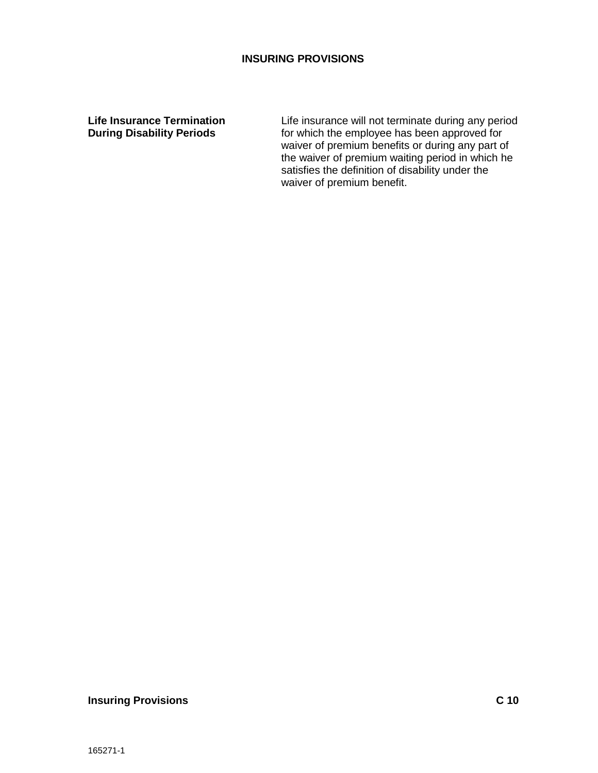<span id="page-18-0"></span>**Life Insurance Termination During Disability Periods**

Life insurance will not terminate during any period for which the employee has been approved for waiver of premium benefits or during any part of the waiver of premium waiting period in which he satisfies the definition of disability under the waiver of premium benefit.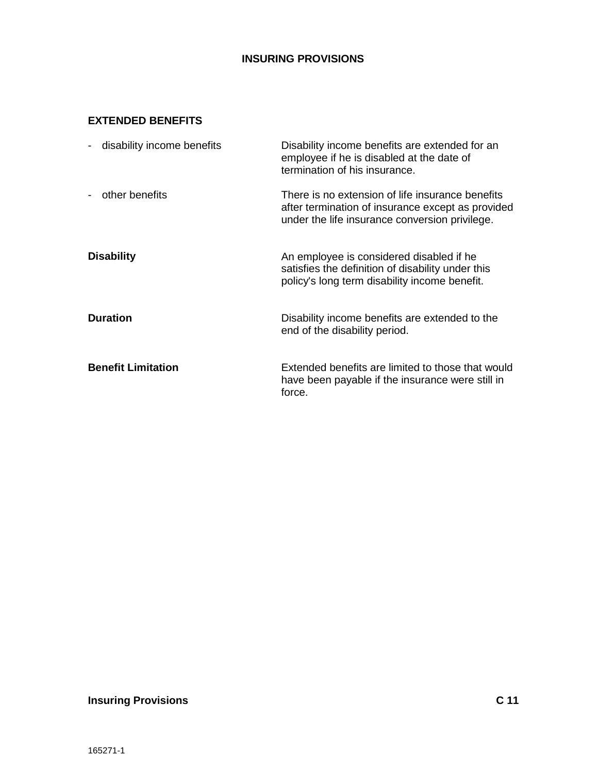# <span id="page-19-0"></span>**EXTENDED BENEFITS**

<span id="page-19-3"></span><span id="page-19-2"></span><span id="page-19-1"></span>

| disability income benefits<br>$\blacksquare$ | Disability income benefits are extended for an<br>employee if he is disabled at the date of<br>termination of his insurance.                            |
|----------------------------------------------|---------------------------------------------------------------------------------------------------------------------------------------------------------|
| other benefits<br>$\overline{\phantom{a}}$   | There is no extension of life insurance benefits<br>after termination of insurance except as provided<br>under the life insurance conversion privilege. |
| <b>Disability</b>                            | An employee is considered disabled if he<br>satisfies the definition of disability under this<br>policy's long term disability income benefit.          |
| <b>Duration</b>                              | Disability income benefits are extended to the<br>end of the disability period.                                                                         |
| <b>Benefit Limitation</b>                    | Extended benefits are limited to those that would<br>have been payable if the insurance were still in<br>force.                                         |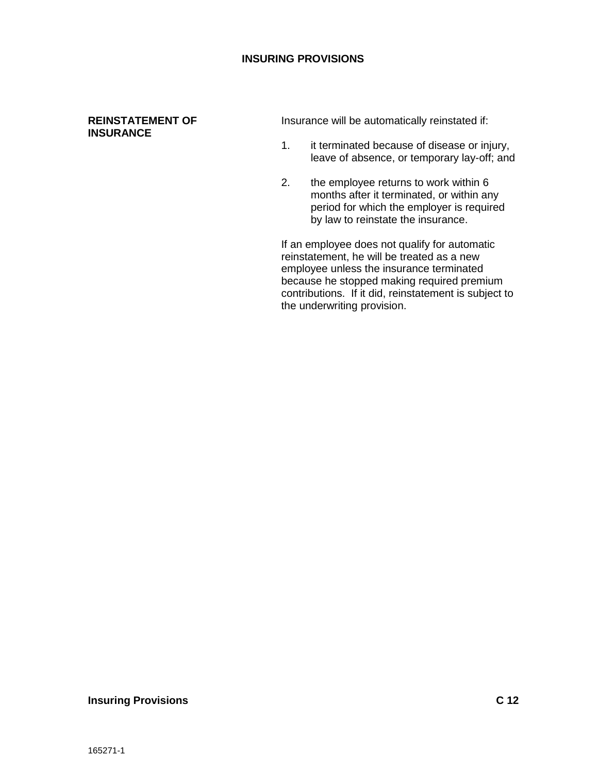#### <span id="page-20-0"></span>**REINSTATEMENT OF INSURANCE**

Insurance will be automatically reinstated if:

- 1. it terminated because of disease or injury, leave of absence, or temporary lay-off; and
- 2. the employee returns to work within 6 months after it terminated, or within any period for which the employer is required by law to reinstate the insurance.

If an employee does not qualify for automatic reinstatement, he will be treated as a new employee unless the insurance terminated because he stopped making required premium contributions. If it did, reinstatement is subject to the underwriting provision.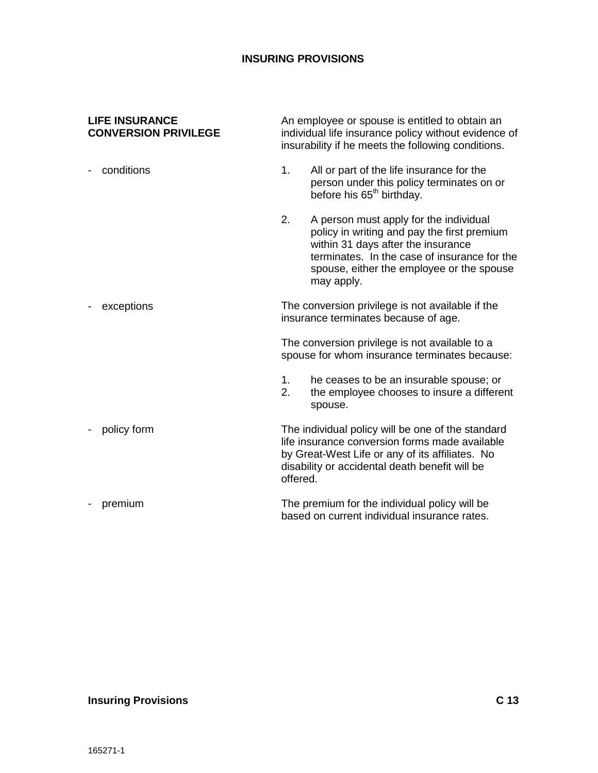An employee or spouse is entitled to obtain an individual life insurance policy without evidence of insurability if he meets the following conditions.

#### <span id="page-21-0"></span>**LIFE INSURANCE CONVERSION PRIVILEGE**

- 1. All or part of the life insurance for the person under this policy terminates on or before his 65<sup>th</sup> birthday. 2. A person must apply for the individual policy in writing and pay the first premium within 31 days after the insurance terminates. In the case of insurance for the spouse, either the employee or the spouse may apply. The conversion privilege is not available if the insurance terminates because of age. The conversion privilege is not available to a spouse for whom insurance terminates because: 1. he ceases to be an insurable spouse; or 2. the employee chooses to insure a different - conditions - exceptions
- The individual policy will be one of the standard life insurance conversion forms made available by Great-West Life or any of its affiliates. No disability or accidental death benefit will be offered. - policy form

spouse.

The premium for the individual policy will be based on current individual insurance rates. - premium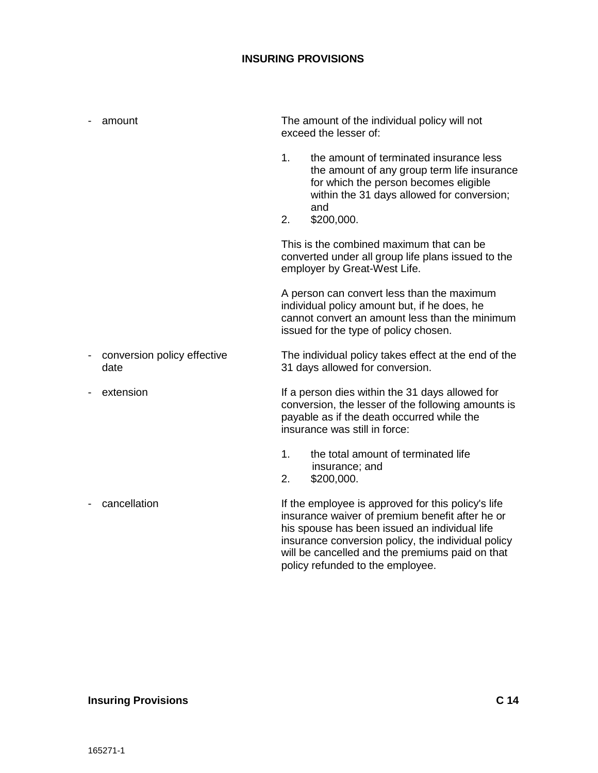| amount                              | The amount of the individual policy will not<br>exceed the lesser of:                                                                                                                                          |
|-------------------------------------|----------------------------------------------------------------------------------------------------------------------------------------------------------------------------------------------------------------|
|                                     | 1.<br>the amount of terminated insurance less<br>the amount of any group term life insurance<br>for which the person becomes eligible<br>within the 31 days allowed for conversion;<br>and<br>\$200,000.<br>2. |
|                                     | This is the combined maximum that can be<br>converted under all group life plans issued to the<br>employer by Great-West Life.                                                                                 |
|                                     | A person can convert less than the maximum<br>individual policy amount but, if he does, he<br>cannot convert an amount less than the minimum<br>issued for the type of policy chosen.                          |
| conversion policy effective<br>date | The individual policy takes effect at the end of the<br>31 days allowed for conversion.                                                                                                                        |
| extension                           | If a person dies within the 31 days allowed for<br>conversion, the lesser of the following amounts is<br>payable as if the death occurred while the<br>insurance was still in force:                           |
|                                     | the total amount of terminated life<br>1.<br>insurance; and<br>2.<br>\$200,000.                                                                                                                                |
| cancellation                        | If the employee is approved for this policy's life<br>insurance waiver of premium benefit after he or<br>his spouse has been issued an individual life<br>insurance conversion policy, the individual policy   |

will be cancelled and the premiums paid on that

policy refunded to the employee.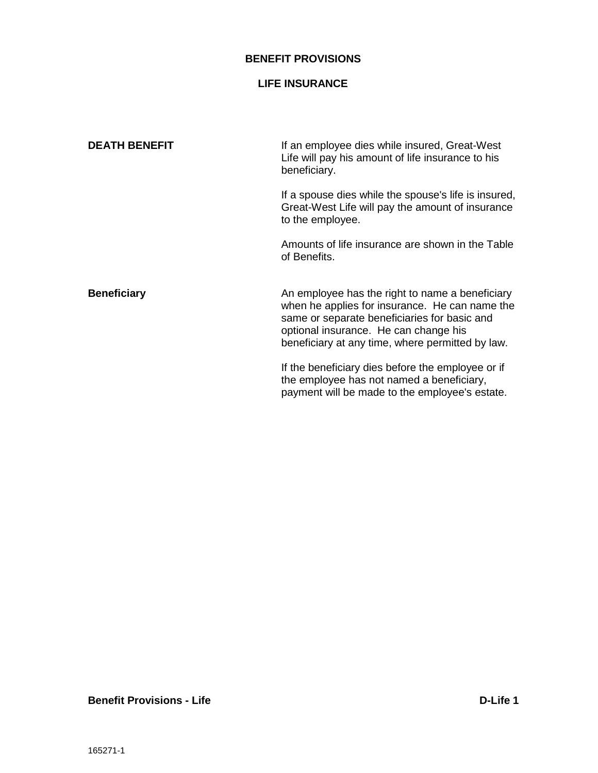#### **BENEFIT PROVISIONS**

# **LIFE INSURANCE**

<span id="page-23-0"></span>

| <b>DEATH BENEFIT</b> | If an employee dies while insured, Great-West<br>Life will pay his amount of life insurance to his<br>beneficiary.                                                                                                                             |  |
|----------------------|------------------------------------------------------------------------------------------------------------------------------------------------------------------------------------------------------------------------------------------------|--|
|                      | If a spouse dies while the spouse's life is insured,<br>Great-West Life will pay the amount of insurance<br>to the employee.                                                                                                                   |  |
|                      | Amounts of life insurance are shown in the Table<br>of Benefits.                                                                                                                                                                               |  |
| <b>Beneficiary</b>   | An employee has the right to name a beneficiary<br>when he applies for insurance. He can name the<br>same or separate beneficiaries for basic and<br>optional insurance. He can change his<br>beneficiary at any time, where permitted by law. |  |
|                      | If the beneficiary dies before the employee or if<br>the employee has not named a beneficiary,<br>payment will be made to the employee's estate.                                                                                               |  |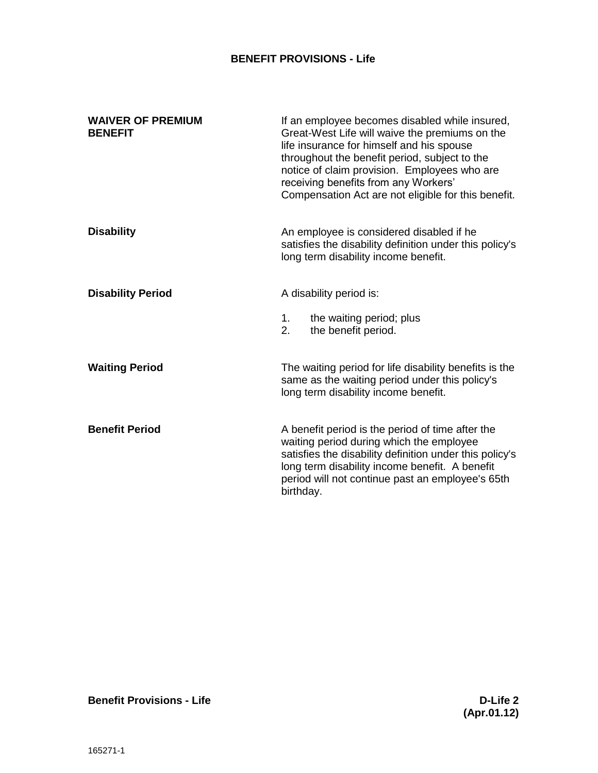# **BENEFIT PROVISIONS - Life**

<span id="page-24-0"></span>

| <b>WAIVER OF PREMIUM</b><br><b>BENEFIT</b> | If an employee becomes disabled while insured,<br>Great-West Life will waive the premiums on the<br>life insurance for himself and his spouse<br>throughout the benefit period, subject to the<br>notice of claim provision. Employees who are<br>receiving benefits from any Workers'<br>Compensation Act are not eligible for this benefit. |
|--------------------------------------------|-----------------------------------------------------------------------------------------------------------------------------------------------------------------------------------------------------------------------------------------------------------------------------------------------------------------------------------------------|
| <b>Disability</b>                          | An employee is considered disabled if he<br>satisfies the disability definition under this policy's<br>long term disability income benefit.                                                                                                                                                                                                   |
| <b>Disability Period</b>                   | A disability period is:                                                                                                                                                                                                                                                                                                                       |
|                                            | the waiting period; plus<br>1.<br>2.<br>the benefit period.                                                                                                                                                                                                                                                                                   |
| <b>Waiting Period</b>                      | The waiting period for life disability benefits is the<br>same as the waiting period under this policy's<br>long term disability income benefit.                                                                                                                                                                                              |
| <b>Benefit Period</b>                      | A benefit period is the period of time after the<br>waiting period during which the employee<br>satisfies the disability definition under this policy's<br>long term disability income benefit. A benefit<br>period will not continue past an employee's 65th<br>birthday.                                                                    |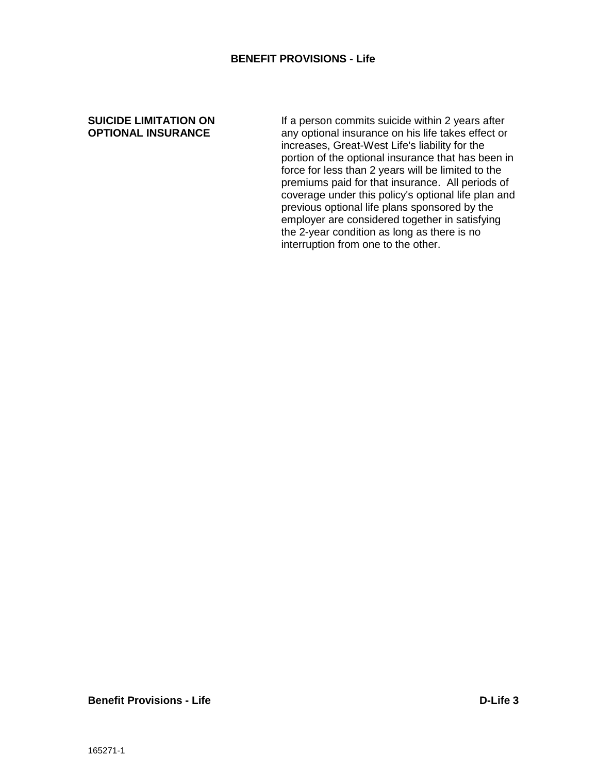#### **BENEFIT PROVISIONS - Life**

#### <span id="page-25-0"></span>**SUICIDE LIMITATION ON OPTIONAL INSURANCE**

If a person commits suicide within 2 years after any optional insurance on his life takes effect or increases, Great-West Life's liability for the portion of the optional insurance that has been in force for less than 2 years will be limited to the premiums paid for that insurance. All periods of coverage under this policy's optional life plan and previous optional life plans sponsored by the employer are considered together in satisfying the 2-year condition as long as there is no interruption from one to the other.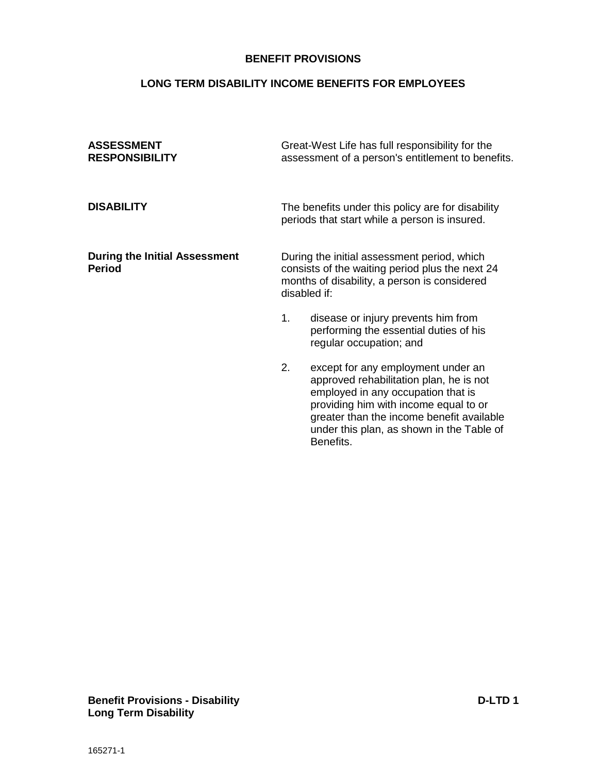#### **BENEFIT PROVISIONS**

# **LONG TERM DISABILITY INCOME BENEFITS FOR EMPLOYEES**

<span id="page-26-1"></span><span id="page-26-0"></span>

| <b>ASSESSMENT</b><br><b>RESPONSIBILITY</b>            | Great-West Life has full responsibility for the<br>assessment of a person's entitlement to benefits.                                                                                                            |  |
|-------------------------------------------------------|-----------------------------------------------------------------------------------------------------------------------------------------------------------------------------------------------------------------|--|
| <b>DISABILITY</b>                                     | The benefits under this policy are for disability<br>periods that start while a person is insured.                                                                                                              |  |
| <b>During the Initial Assessment</b><br><b>Period</b> | During the initial assessment period, which<br>consists of the waiting period plus the next 24<br>months of disability, a person is considered<br>disabled if:                                                  |  |
|                                                       | disease or injury prevents him from<br>1.<br>performing the essential duties of his<br>regular occupation; and                                                                                                  |  |
|                                                       | 2.<br>except for any employment under an<br>approved rehabilitation plan, he is not<br>employed in any occupation that is<br>providing him with income equal to or<br>greater than the income benefit available |  |

Benefits.

under this plan, as shown in the Table of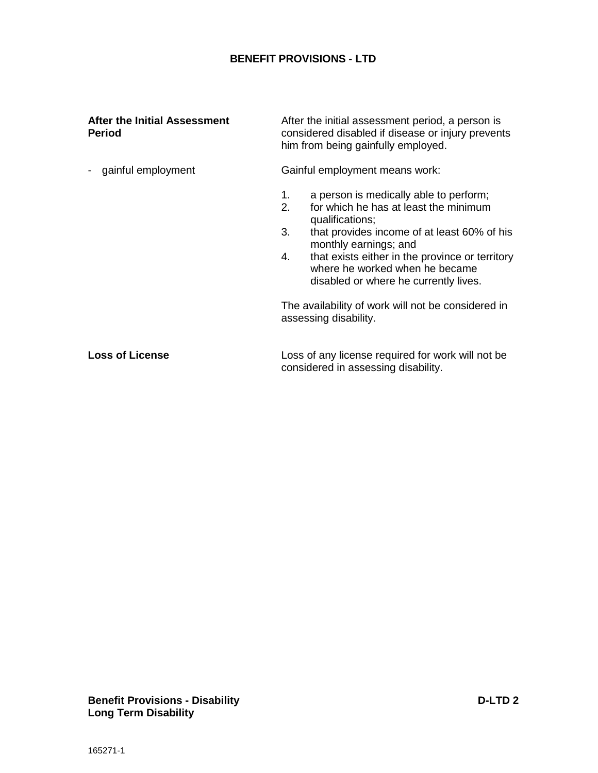#### **After the Initial Assessment Period**

- gainful employment

After the initial assessment period, a person is considered disabled if disease or injury prevents him from being gainfully employed.

Gainful employment means work:

- 1. a person is medically able to perform;
- 2. for which he has at least the minimum qualifications;
- 3. that provides income of at least 60% of his monthly earnings; and
- 4. that exists either in the province or territory where he worked when he became disabled or where he currently lives.

The availability of work will not be considered in assessing disability.

Loss of any license required for work will not be considered in assessing disability. **Loss of License**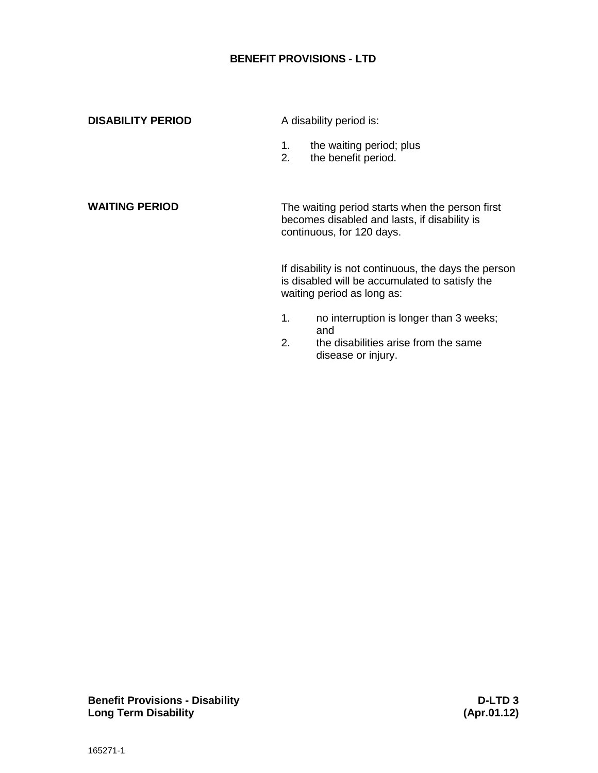<span id="page-28-1"></span><span id="page-28-0"></span>

| <b>DISABILITY PERIOD</b> | A disability period is: |                                                                                                                                      |
|--------------------------|-------------------------|--------------------------------------------------------------------------------------------------------------------------------------|
|                          | 1.<br>2.                | the waiting period; plus<br>the benefit period.                                                                                      |
| <b>WAITING PERIOD</b>    |                         | The waiting period starts when the person first<br>becomes disabled and lasts, if disability is<br>continuous, for 120 days.         |
|                          |                         | If disability is not continuous, the days the person<br>is disabled will be accumulated to satisfy the<br>waiting period as long as: |
|                          | 1.<br>2.                | no interruption is longer than 3 weeks;<br>and<br>the disabilities arise from the same<br>disease or injury.                         |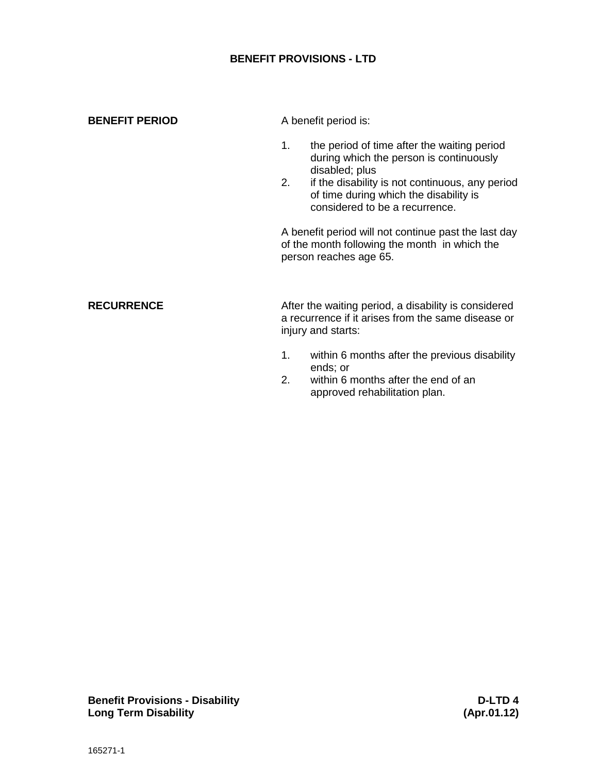<span id="page-29-1"></span><span id="page-29-0"></span>

| <b>BENEFIT PERIOD</b> | A benefit period is:                                                                                                                                                                                                                                |  |
|-----------------------|-----------------------------------------------------------------------------------------------------------------------------------------------------------------------------------------------------------------------------------------------------|--|
|                       | the period of time after the waiting period<br>1.<br>during which the person is continuously<br>disabled; plus<br>if the disability is not continuous, any period<br>2.<br>of time during which the disability is<br>considered to be a recurrence. |  |
|                       | A benefit period will not continue past the last day<br>of the month following the month in which the<br>person reaches age 65.                                                                                                                     |  |
| <b>RECURRENCE</b>     | After the waiting period, a disability is considered<br>a recurrence if it arises from the same disease or<br>injury and starts:                                                                                                                    |  |
|                       | within 6 months after the previous disability<br>1.<br>ends; or<br>within 6 months after the end of an<br>2.<br>approved rehabilitation plan.                                                                                                       |  |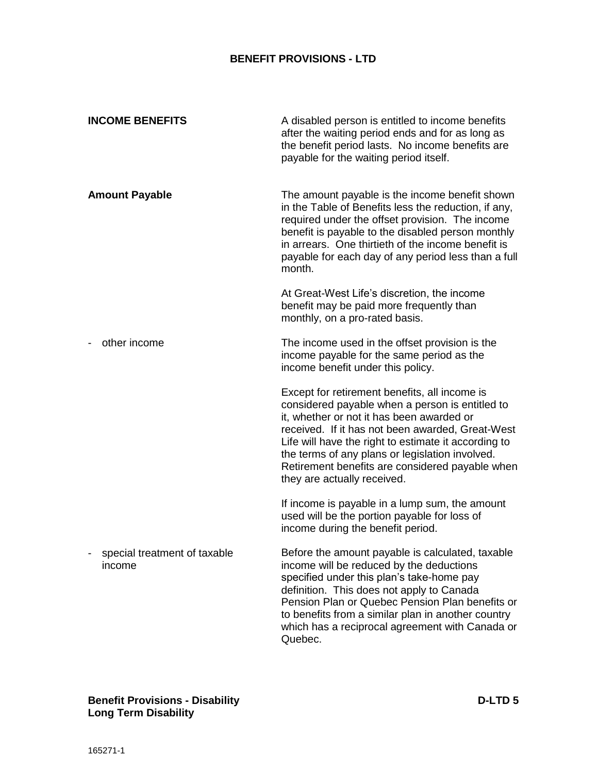<span id="page-30-0"></span>

| <b>INCOME BENEFITS</b>                 | A disabled person is entitled to income benefits<br>after the waiting period ends and for as long as<br>the benefit period lasts. No income benefits are<br>payable for the waiting period itself.                                                                                                                                                                                             |
|----------------------------------------|------------------------------------------------------------------------------------------------------------------------------------------------------------------------------------------------------------------------------------------------------------------------------------------------------------------------------------------------------------------------------------------------|
| <b>Amount Payable</b>                  | The amount payable is the income benefit shown<br>in the Table of Benefits less the reduction, if any,<br>required under the offset provision. The income<br>benefit is payable to the disabled person monthly<br>in arrears. One thirtieth of the income benefit is<br>payable for each day of any period less than a full<br>month.                                                          |
|                                        | At Great-West Life's discretion, the income<br>benefit may be paid more frequently than<br>monthly, on a pro-rated basis.                                                                                                                                                                                                                                                                      |
| other income                           | The income used in the offset provision is the<br>income payable for the same period as the<br>income benefit under this policy.                                                                                                                                                                                                                                                               |
|                                        | Except for retirement benefits, all income is<br>considered payable when a person is entitled to<br>it, whether or not it has been awarded or<br>received. If it has not been awarded, Great-West<br>Life will have the right to estimate it according to<br>the terms of any plans or legislation involved.<br>Retirement benefits are considered payable when<br>they are actually received. |
|                                        | If income is payable in a lump sum, the amount<br>used will be the portion payable for loss of<br>income during the benefit period.                                                                                                                                                                                                                                                            |
| special treatment of taxable<br>income | Before the amount payable is calculated, taxable<br>income will be reduced by the deductions<br>specified under this plan's take-home pay<br>definition. This does not apply to Canada<br>Pension Plan or Quebec Pension Plan benefits or<br>to benefits from a similar plan in another country<br>which has a reciprocal agreement with Canada or<br>Quebec.                                  |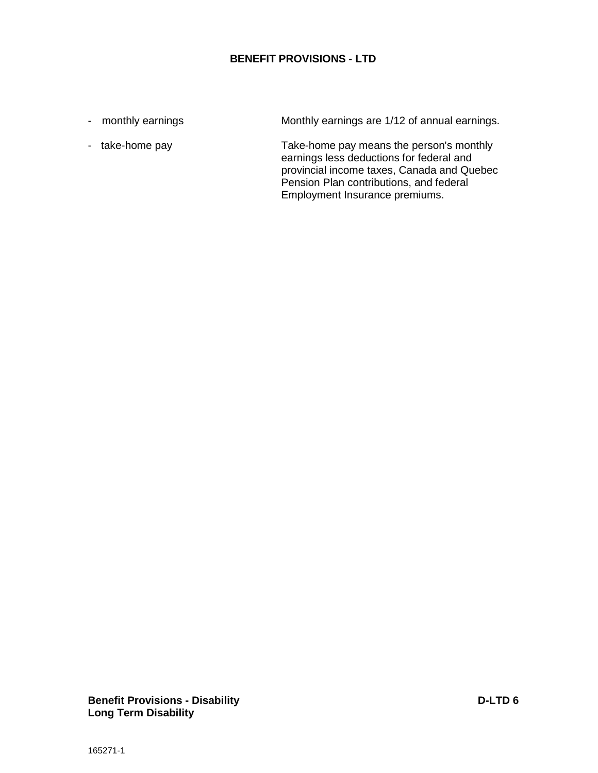- monthly earnings

- take-home pay

Monthly earnings are 1/12 of annual earnings.

Take-home pay means the person's monthly earnings less deductions for federal and provincial income taxes, Canada and Quebec Pension Plan contributions, and federal Employment Insurance premiums.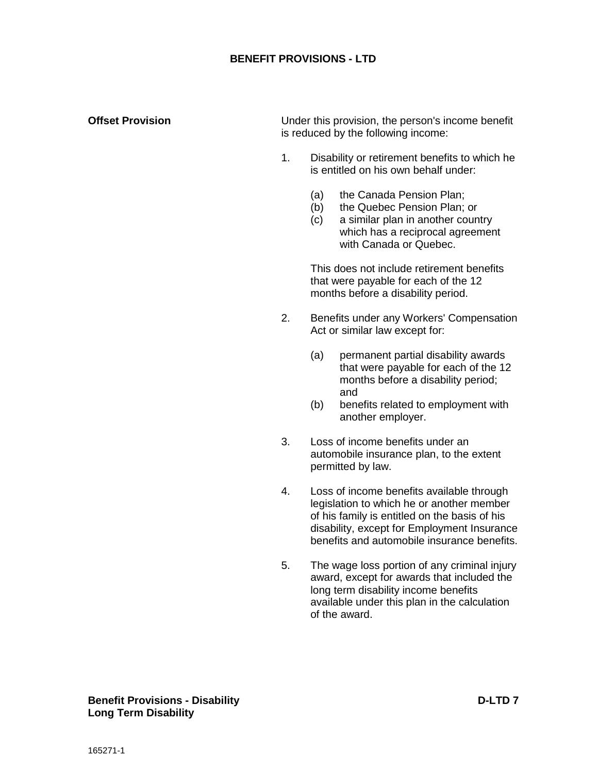#### **Offset Provision**

Under this provision, the person's income benefit is reduced by the following income:

- 1. Disability or retirement benefits to which he is entitled on his own behalf under:
	- (a) the Canada Pension Plan;
	- (b) the Quebec Pension Plan; or
	- (c) a similar plan in another country which has a reciprocal agreement with Canada or Quebec.

This does not include retirement benefits that were payable for each of the 12 months before a disability period.

- 2. Benefits under any Workers' Compensation Act or similar law except for:
	- (a) permanent partial disability awards that were payable for each of the 12 months before a disability period; and
	- (b) benefits related to employment with another employer.
- 3. Loss of income benefits under an automobile insurance plan, to the extent permitted by law.
- 4. Loss of income benefits available through legislation to which he or another member of his family is entitled on the basis of his disability, except for Employment Insurance benefits and automobile insurance benefits.
- 5. The wage loss portion of any criminal injury award, except for awards that included the long term disability income benefits available under this plan in the calculation of the award.

#### **Benefit Provisions - Disability D-LTD 7 Long Term Disability**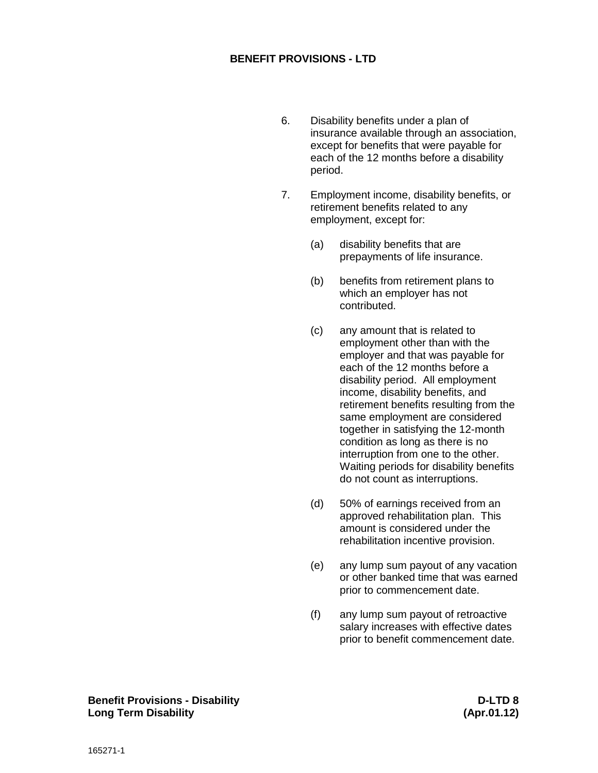- 6. Disability benefits under a plan of insurance available through an association, except for benefits that were payable for each of the 12 months before a disability period.
- 7. Employment income, disability benefits, or retirement benefits related to any employment, except for:
	- (a) disability benefits that are prepayments of life insurance.
	- (b) benefits from retirement plans to which an employer has not contributed.
	- (c) any amount that is related to employment other than with the employer and that was payable for each of the 12 months before a disability period. All employment income, disability benefits, and retirement benefits resulting from the same employment are considered together in satisfying the 12-month condition as long as there is no interruption from one to the other. Waiting periods for disability benefits do not count as interruptions.
	- (d) 50% of earnings received from an approved rehabilitation plan. This amount is considered under the rehabilitation incentive provision.
	- (e) any lump sum payout of any vacation or other banked time that was earned prior to commencement date.
	- (f) any lump sum payout of retroactive salary increases with effective dates prior to benefit commencement date.

**Benefit Provisions - Disability D-LTD 8 Long Term Disability (Apr.01.12)**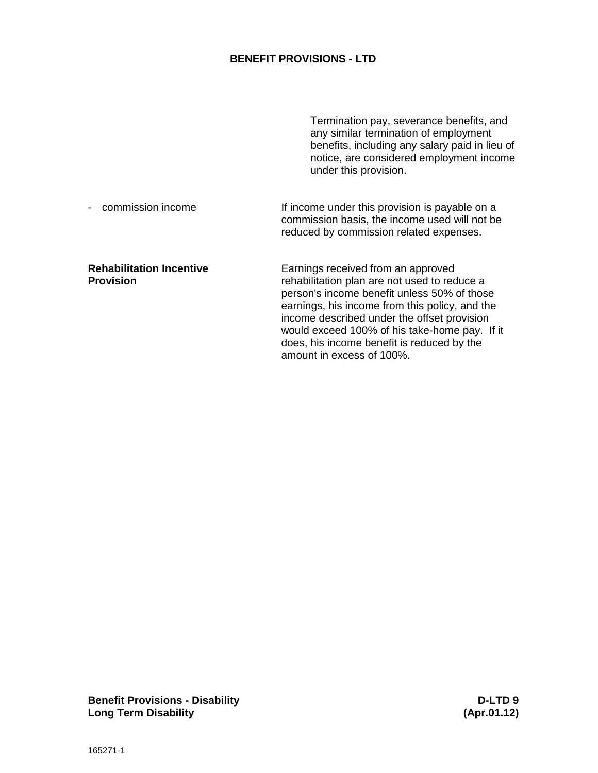|                                                     | Termination pay, severance benefits, and<br>any similar termination of employment<br>benefits, including any salary paid in lieu of<br>notice, are considered employment income<br>under this provision.                                                                                                                                                       |
|-----------------------------------------------------|----------------------------------------------------------------------------------------------------------------------------------------------------------------------------------------------------------------------------------------------------------------------------------------------------------------------------------------------------------------|
| commission income                                   | If income under this provision is payable on a<br>commission basis, the income used will not be<br>reduced by commission related expenses.                                                                                                                                                                                                                     |
| <b>Rehabilitation Incentive</b><br><b>Provision</b> | Earnings received from an approved<br>rehabilitation plan are not used to reduce a<br>person's income benefit unless 50% of those<br>earnings, his income from this policy, and the<br>income described under the offset provision<br>would exceed 100% of his take-home pay. If it<br>does, his income benefit is reduced by the<br>amount in excess of 100%. |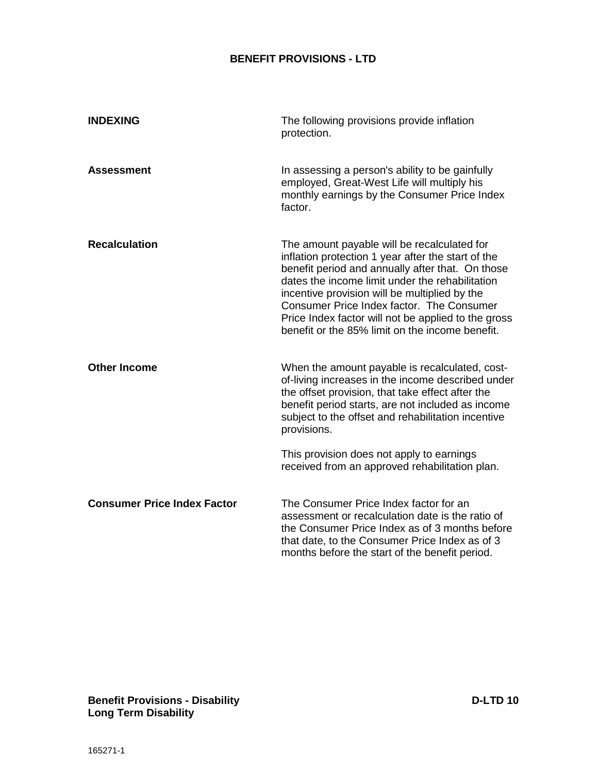<span id="page-35-0"></span>

| <b>INDEXING</b>                    | The following provisions provide inflation<br>protection.                                                                                                                                                                                                                                                                                                                                                        |
|------------------------------------|------------------------------------------------------------------------------------------------------------------------------------------------------------------------------------------------------------------------------------------------------------------------------------------------------------------------------------------------------------------------------------------------------------------|
| <b>Assessment</b>                  | In assessing a person's ability to be gainfully<br>employed, Great-West Life will multiply his<br>monthly earnings by the Consumer Price Index<br>factor.                                                                                                                                                                                                                                                        |
| <b>Recalculation</b>               | The amount payable will be recalculated for<br>inflation protection 1 year after the start of the<br>benefit period and annually after that. On those<br>dates the income limit under the rehabilitation<br>incentive provision will be multiplied by the<br>Consumer Price Index factor. The Consumer<br>Price Index factor will not be applied to the gross<br>benefit or the 85% limit on the income benefit. |
| <b>Other Income</b>                | When the amount payable is recalculated, cost-<br>of-living increases in the income described under<br>the offset provision, that take effect after the<br>benefit period starts, are not included as income<br>subject to the offset and rehabilitation incentive<br>provisions.                                                                                                                                |
|                                    | This provision does not apply to earnings<br>received from an approved rehabilitation plan.                                                                                                                                                                                                                                                                                                                      |
| <b>Consumer Price Index Factor</b> | The Consumer Price Index factor for an<br>assessment or recalculation date is the ratio of<br>the Consumer Price Index as of 3 months before<br>that date, to the Consumer Price Index as of 3<br>months before the start of the benefit period.                                                                                                                                                                 |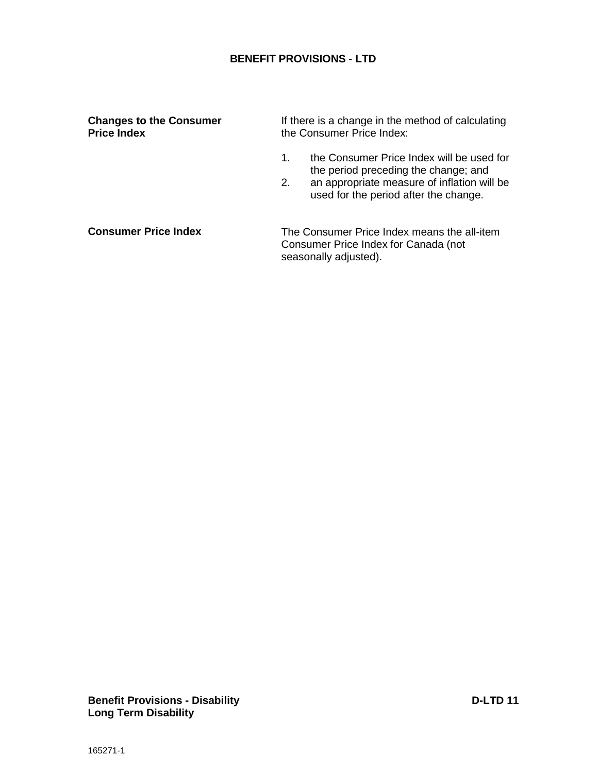#### **Changes to the Consumer Price Index**

If there is a change in the method of calculating the Consumer Price Index:

- 1. the Consumer Price Index will be used for the period preceding the change; and
- 2. an appropriate measure of inflation will be used for the period after the change.

**Consumer Price Index**

The Consumer Price Index means the all-item Consumer Price Index for Canada (not seasonally adjusted).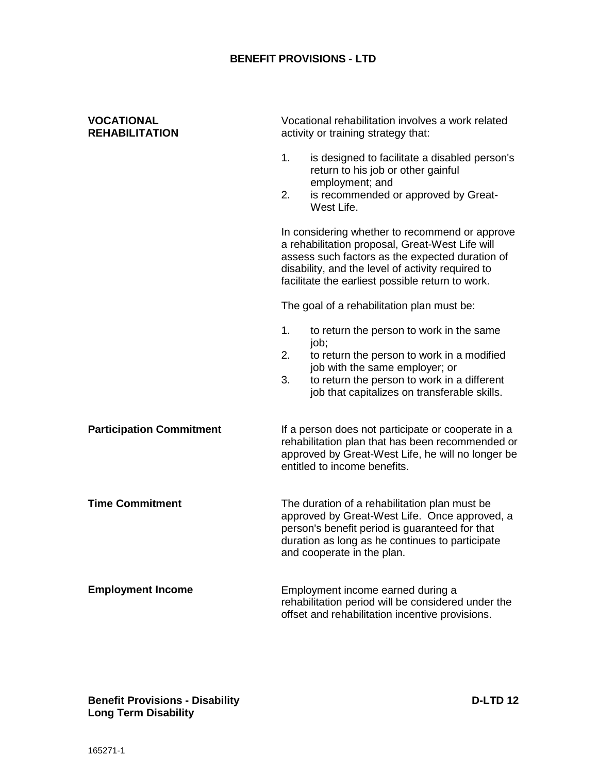<span id="page-37-0"></span>

| <b>VOCATIONAL</b><br><b>REHABILITATION</b> |          | Vocational rehabilitation involves a work related<br>activity or training strategy that:                                                                                                                                                                      |
|--------------------------------------------|----------|---------------------------------------------------------------------------------------------------------------------------------------------------------------------------------------------------------------------------------------------------------------|
|                                            | 1.<br>2. | is designed to facilitate a disabled person's<br>return to his job or other gainful<br>employment; and<br>is recommended or approved by Great-                                                                                                                |
|                                            |          | West Life.                                                                                                                                                                                                                                                    |
|                                            |          | In considering whether to recommend or approve<br>a rehabilitation proposal, Great-West Life will<br>assess such factors as the expected duration of<br>disability, and the level of activity required to<br>facilitate the earliest possible return to work. |
|                                            |          | The goal of a rehabilitation plan must be:                                                                                                                                                                                                                    |
|                                            | 1.       | to return the person to work in the same<br>job;                                                                                                                                                                                                              |
|                                            | 2.       | to return the person to work in a modified<br>job with the same employer; or                                                                                                                                                                                  |
|                                            | 3.       | to return the person to work in a different<br>job that capitalizes on transferable skills.                                                                                                                                                                   |
| <b>Participation Commitment</b>            |          | If a person does not participate or cooperate in a<br>rehabilitation plan that has been recommended or<br>approved by Great-West Life, he will no longer be<br>entitled to income benefits.                                                                   |
| <b>Time Commitment</b>                     |          | The duration of a rehabilitation plan must be<br>approved by Great-West Life. Once approved, a<br>person's benefit period is guaranteed for that<br>duration as long as he continues to participate<br>and cooperate in the plan.                             |
| <b>Employment Income</b>                   |          | Employment income earned during a<br>rehabilitation period will be considered under the<br>offset and rehabilitation incentive provisions.                                                                                                                    |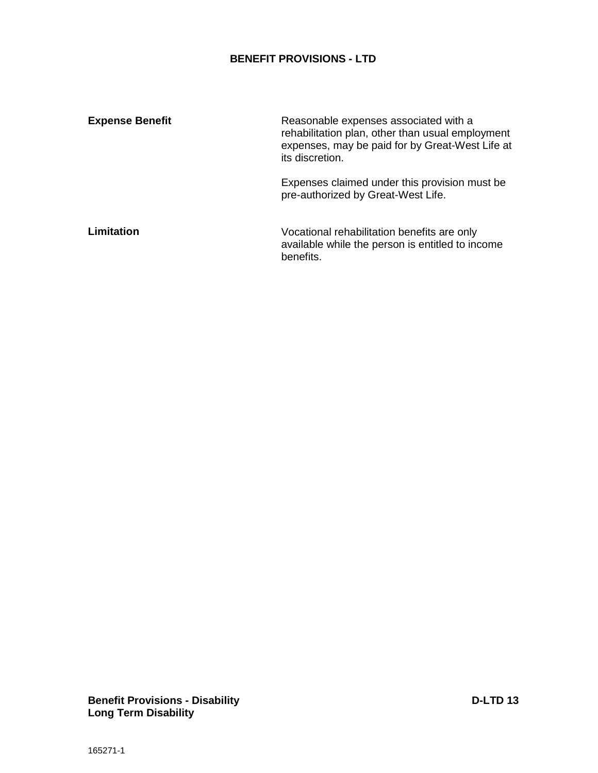| <b>Expense Benefit</b> | Reasonable expenses associated with a<br>rehabilitation plan, other than usual employment<br>expenses, may be paid for by Great-West Life at<br>its discretion. |
|------------------------|-----------------------------------------------------------------------------------------------------------------------------------------------------------------|
|                        | Expenses claimed under this provision must be<br>pre-authorized by Great-West Life.                                                                             |
| <b>Limitation</b>      | Vocational rehabilitation benefits are only<br>available while the person is entitled to income<br>benefits.                                                    |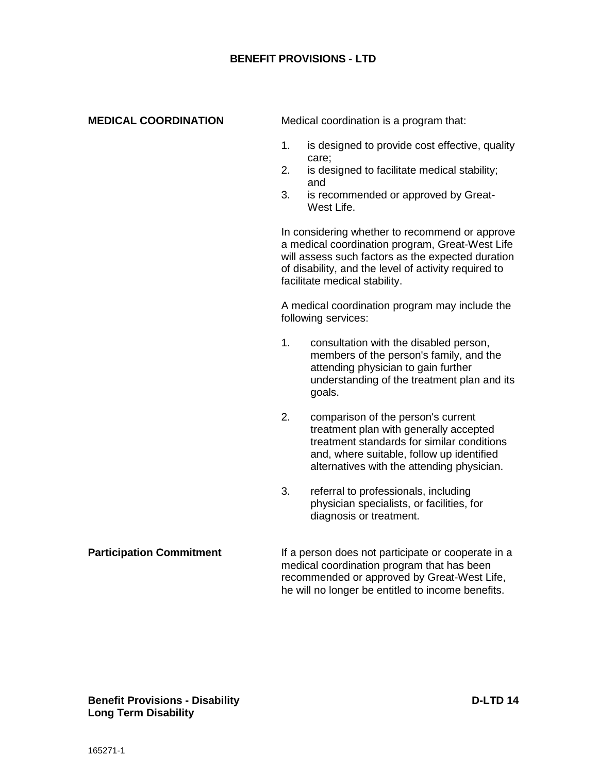#### <span id="page-39-0"></span>**MEDICAL COORDINATION**

Medical coordination is a program that:

- 1. is designed to provide cost effective, quality care;
- 2. is designed to facilitate medical stability; and
- 3. is recommended or approved by Great-West Life.

In considering whether to recommend or approve a medical coordination program, Great-West Life will assess such factors as the expected duration of disability, and the level of activity required to facilitate medical stability.

A medical coordination program may include the following services:

- 1. consultation with the disabled person, members of the person's family, and the attending physician to gain further understanding of the treatment plan and its goals.
- 2. comparison of the person's current treatment plan with generally accepted treatment standards for similar conditions and, where suitable, follow up identified alternatives with the attending physician.
- 3. referral to professionals, including physician specialists, or facilities, for diagnosis or treatment.

#### If a person does not participate or cooperate in a medical coordination program that has been recommended or approved by Great-West Life, he will no longer be entitled to income benefits. **Participation Commitment**

#### **Benefit Provisions - Disability D-LTD 14 Long Term Disability**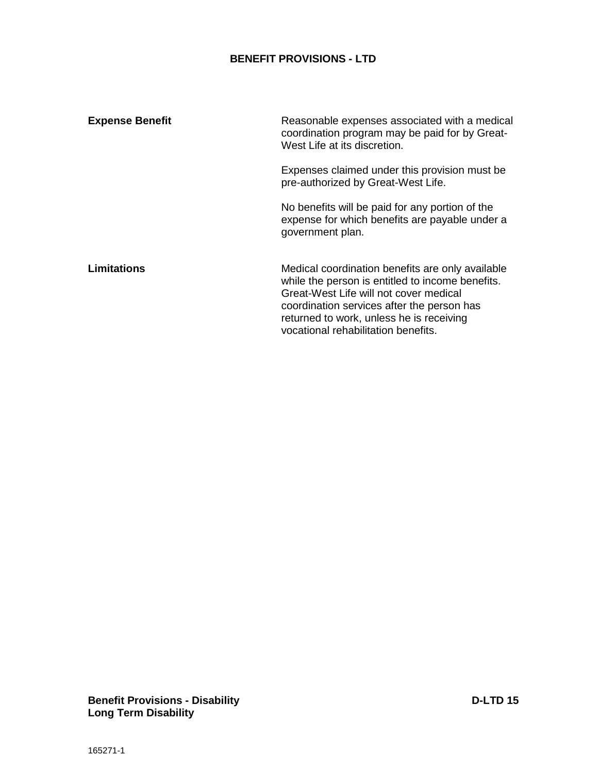| <b>Expense Benefit</b> | Reasonable expenses associated with a medical<br>coordination program may be paid for by Great-<br>West Life at its discretion.                                                                                                                                                 |
|------------------------|---------------------------------------------------------------------------------------------------------------------------------------------------------------------------------------------------------------------------------------------------------------------------------|
|                        | Expenses claimed under this provision must be.<br>pre-authorized by Great-West Life.                                                                                                                                                                                            |
|                        | No benefits will be paid for any portion of the<br>expense for which benefits are payable under a<br>government plan.                                                                                                                                                           |
| Limitations            | Medical coordination benefits are only available<br>while the person is entitled to income benefits.<br>Great-West Life will not cover medical<br>coordination services after the person has<br>returned to work, unless he is receiving<br>vocational rehabilitation benefits. |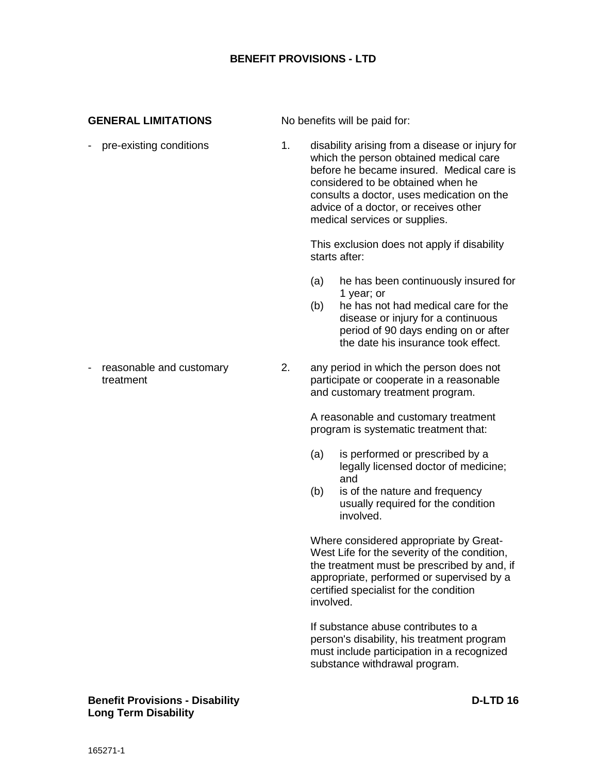#### <span id="page-41-0"></span>**GENERAL LIMITATIONS**

No benefits will be paid for:

1. disability arising from a disease or injury for which the person obtained medical care before he became insured. Medical care is considered to be obtained when he consults a doctor, uses medication on the advice of a doctor, or receives other medical services or supplies. This exclusion does not apply if disability starts after: (a) he has been continuously insured for 1 year; or (b) he has not had medical care for the disease or injury for a continuous period of 90 days ending on or after the date his insurance took effect. 2. any period in which the person does not participate or cooperate in a reasonable and customary treatment program. A reasonable and customary treatment program is systematic treatment that: (a) is performed or prescribed by a legally licensed doctor of medicine; and (b) is of the nature and frequency usually required for the condition involved. Where considered appropriate by Great-West Life for the severity of the condition, the treatment must be prescribed by and, if appropriate, performed or supervised by a certified specialist for the condition involved. If substance abuse contributes to a person's disability, his treatment program must include participation in a recognized substance withdrawal program. - pre-existing conditions - reasonable and customary treatment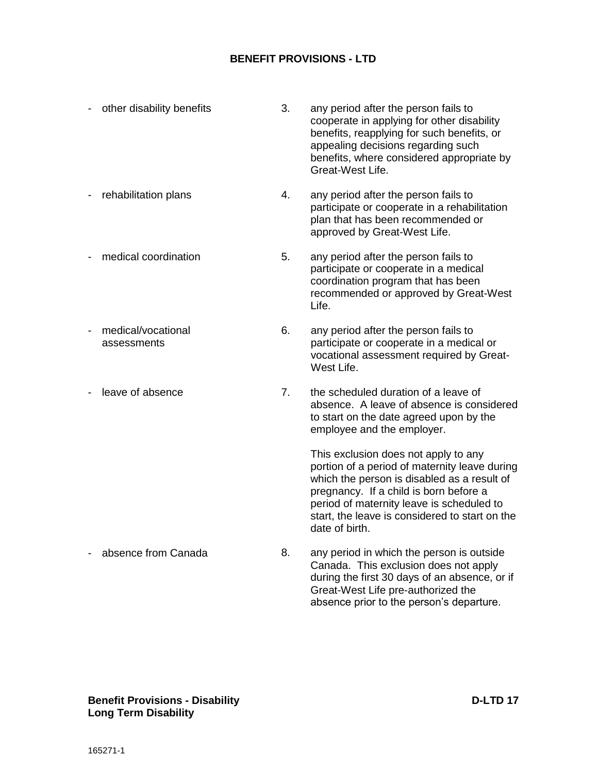| other disability benefits         | 3. | any period after the person fails to<br>cooperate in applying for other disability<br>benefits, reapplying for such benefits, or<br>appealing decisions regarding such<br>benefits, where considered appropriate by<br>Great-West Life.                                                         |
|-----------------------------------|----|-------------------------------------------------------------------------------------------------------------------------------------------------------------------------------------------------------------------------------------------------------------------------------------------------|
| rehabilitation plans              | 4. | any period after the person fails to<br>participate or cooperate in a rehabilitation<br>plan that has been recommended or<br>approved by Great-West Life.                                                                                                                                       |
| medical coordination              | 5. | any period after the person fails to<br>participate or cooperate in a medical<br>coordination program that has been<br>recommended or approved by Great-West<br>Life.                                                                                                                           |
| medical/vocational<br>assessments | 6. | any period after the person fails to<br>participate or cooperate in a medical or<br>vocational assessment required by Great-<br>West Life.                                                                                                                                                      |
| leave of absence                  | 7. | the scheduled duration of a leave of<br>absence. A leave of absence is considered<br>to start on the date agreed upon by the<br>employee and the employer.                                                                                                                                      |
|                                   |    | This exclusion does not apply to any<br>portion of a period of maternity leave during<br>which the person is disabled as a result of<br>pregnancy. If a child is born before a<br>period of maternity leave is scheduled to<br>start, the leave is considered to start on the<br>date of birth. |
| absence from Canada               | 8. | any period in which the person is outside<br>Canada. This exclusion does not apply<br>during the first 30 days of an absence, or if<br>Great-West Life pre-authorized the<br>absence prior to the person's departure.                                                                           |

#### **Benefit Provisions - Disability D-LTD 17 Long Term Disability**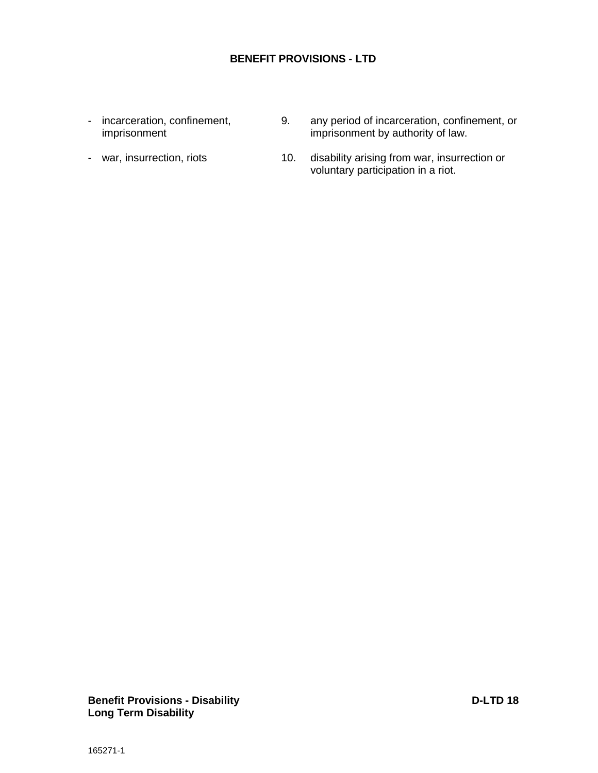- incarceration, confinement, imprisonment

- war, insurrection, riots

- 9. any period of incarceration, confinement, or imprisonment by authority of law.
- 10. disability arising from war, insurrection or voluntary participation in a riot.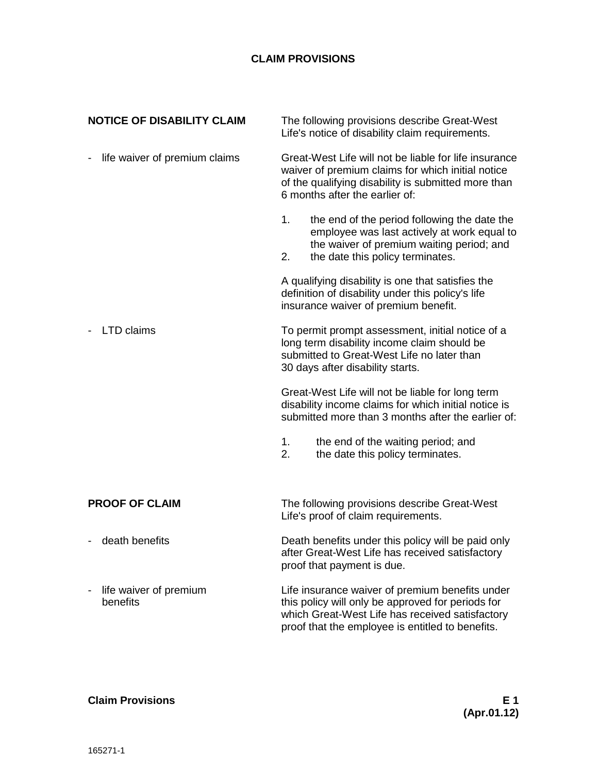# **CLAIM PROVISIONS**

| <b>NOTICE OF DISABILITY CLAIM</b>  | The following provisions describe Great-West<br>Life's notice of disability claim requirements.                                                                                                             |  |
|------------------------------------|-------------------------------------------------------------------------------------------------------------------------------------------------------------------------------------------------------------|--|
| life waiver of premium claims      | Great-West Life will not be liable for life insurance<br>waiver of premium claims for which initial notice<br>of the qualifying disability is submitted more than<br>6 months after the earlier of:         |  |
|                                    | the end of the period following the date the<br>1.<br>employee was last actively at work equal to<br>the waiver of premium waiting period; and<br>the date this policy terminates.<br>2.                    |  |
|                                    | A qualifying disability is one that satisfies the<br>definition of disability under this policy's life<br>insurance waiver of premium benefit.                                                              |  |
| <b>LTD</b> claims                  | To permit prompt assessment, initial notice of a<br>long term disability income claim should be<br>submitted to Great-West Life no later than<br>30 days after disability starts.                           |  |
|                                    | Great-West Life will not be liable for long term<br>disability income claims for which initial notice is<br>submitted more than 3 months after the earlier of:                                              |  |
|                                    | the end of the waiting period; and<br>1.<br>2.<br>the date this policy terminates.                                                                                                                          |  |
| <b>PROOF OF CLAIM</b>              | The following provisions describe Great-West<br>Life's proof of claim requirements.                                                                                                                         |  |
| death benefits                     | Death benefits under this policy will be paid only<br>after Great-West Life has received satisfactory<br>proof that payment is due.                                                                         |  |
| life waiver of premium<br>benefits | Life insurance waiver of premium benefits under<br>this policy will only be approved for periods for<br>which Great-West Life has received satisfactory<br>proof that the employee is entitled to benefits. |  |

# <span id="page-44-0"></span>**Claim Provisions E 1**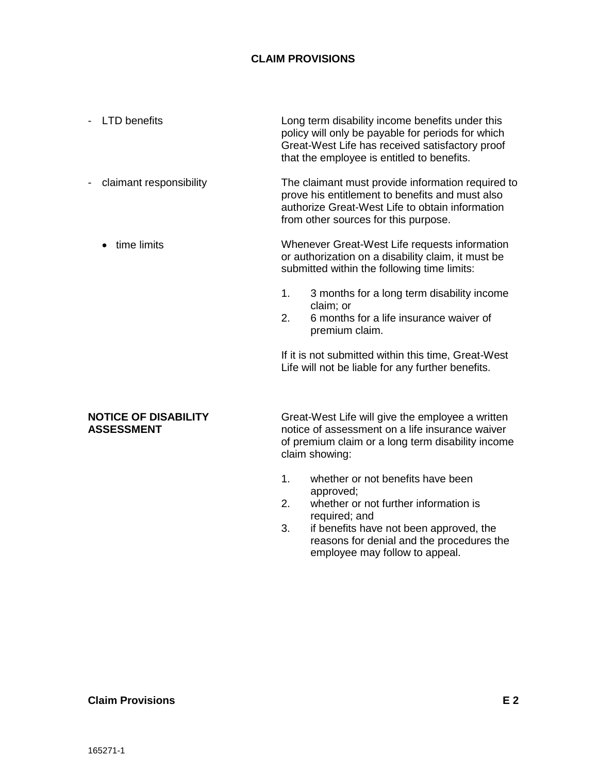# **CLAIM PROVISIONS**

- Long term disability income benefits under this policy will only be payable for periods for which Great-West Life has received satisfactory proof that the employee is entitled to benefits. - LTD benefits
- The claimant must provide information required to prove his entitlement to benefits and must also authorize Great-West Life to obtain information from other sources for this purpose. - claimant responsibility
	- Whenever Great-West Life requests information or authorization on a disability claim, it must be submitted within the following time limits: • time limits
		- 1. 3 months for a long term disability income claim; or
		- 2. 6 months for a life insurance waiver of premium claim.

If it is not submitted within this time, Great-West Life will not be liable for any further benefits.

#### <span id="page-45-0"></span>**NOTICE OF DISABILITY ASSESSMENT**

Great-West Life will give the employee a written notice of assessment on a life insurance waiver of premium claim or a long term disability income claim showing:

- 1. whether or not benefits have been approved;
- 2. whether or not further information is required; and
- 3. if benefits have not been approved, the reasons for denial and the procedures the employee may follow to appeal.

#### **Claim Provisions E 2**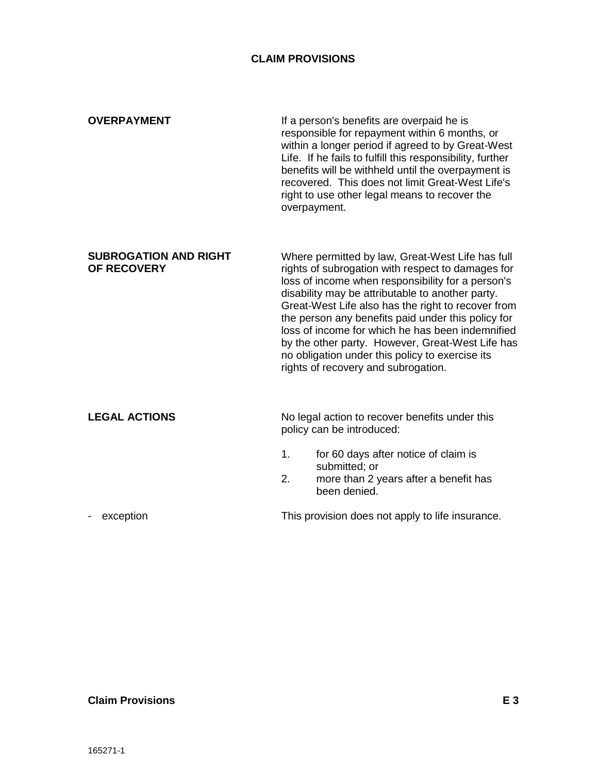#### **CLAIM PROVISIONS**

<span id="page-46-1"></span><span id="page-46-0"></span>

| <b>OVERPAYMENT</b>                          | If a person's benefits are overpaid he is<br>responsible for repayment within 6 months, or<br>within a longer period if agreed to by Great-West<br>Life. If he fails to fulfill this responsibility, further<br>benefits will be withheld until the overpayment is<br>recovered. This does not limit Great-West Life's<br>right to use other legal means to recover the<br>overpayment.                                                                                                                                      |
|---------------------------------------------|------------------------------------------------------------------------------------------------------------------------------------------------------------------------------------------------------------------------------------------------------------------------------------------------------------------------------------------------------------------------------------------------------------------------------------------------------------------------------------------------------------------------------|
| <b>SUBROGATION AND RIGHT</b><br>OF RECOVERY | Where permitted by law, Great-West Life has full<br>rights of subrogation with respect to damages for<br>loss of income when responsibility for a person's<br>disability may be attributable to another party.<br>Great-West Life also has the right to recover from<br>the person any benefits paid under this policy for<br>loss of income for which he has been indemnified<br>by the other party. However, Great-West Life has<br>no obligation under this policy to exercise its<br>rights of recovery and subrogation. |
| <b>LEGAL ACTIONS</b>                        | No legal action to recover benefits under this<br>policy can be introduced:                                                                                                                                                                                                                                                                                                                                                                                                                                                  |
|                                             | 1.<br>for 60 days after notice of claim is<br>submitted; or                                                                                                                                                                                                                                                                                                                                                                                                                                                                  |
|                                             | 2.<br>more than 2 years after a benefit has<br>been denied.                                                                                                                                                                                                                                                                                                                                                                                                                                                                  |
| exception                                   | This provision does not apply to life insurance.                                                                                                                                                                                                                                                                                                                                                                                                                                                                             |

#### <span id="page-46-2"></span>**Claim Provisions E 3**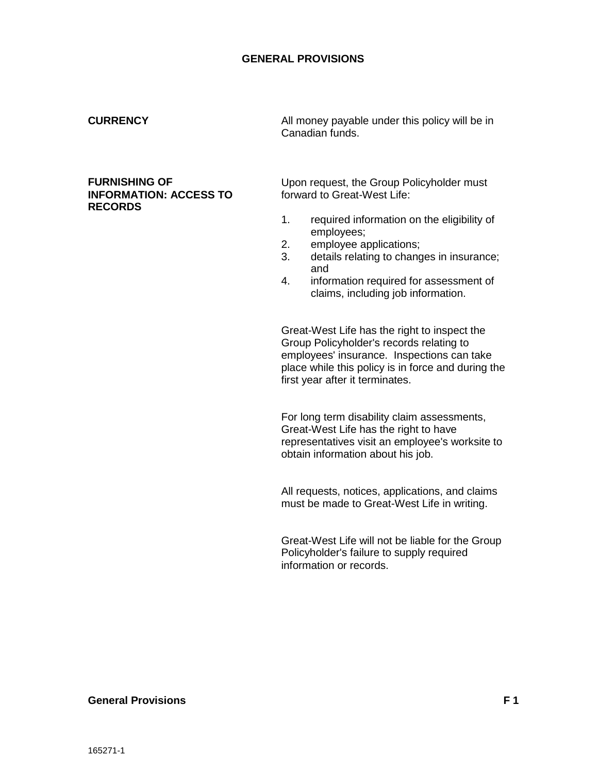#### <span id="page-47-0"></span>**CURRENCY**

#### <span id="page-47-1"></span>**FURNISHING OF INFORMATION: ACCESS TO RECORDS**

All money payable under this policy will be in Canadian funds.

Upon request, the Group Policyholder must forward to Great-West Life:

- 1. required information on the eligibility of employees;
- 2. employee applications;
- 3. details relating to changes in insurance; and
- 4. information required for assessment of claims, including job information.

Great-West Life has the right to inspect the Group Policyholder's records relating to employees' insurance. Inspections can take place while this policy is in force and during the first year after it terminates.

For long term disability claim assessments, Great-West Life has the right to have representatives visit an employee's worksite to obtain information about his job.

All requests, notices, applications, and claims must be made to Great-West Life in writing.

Great-West Life will not be liable for the Group Policyholder's failure to supply required information or records.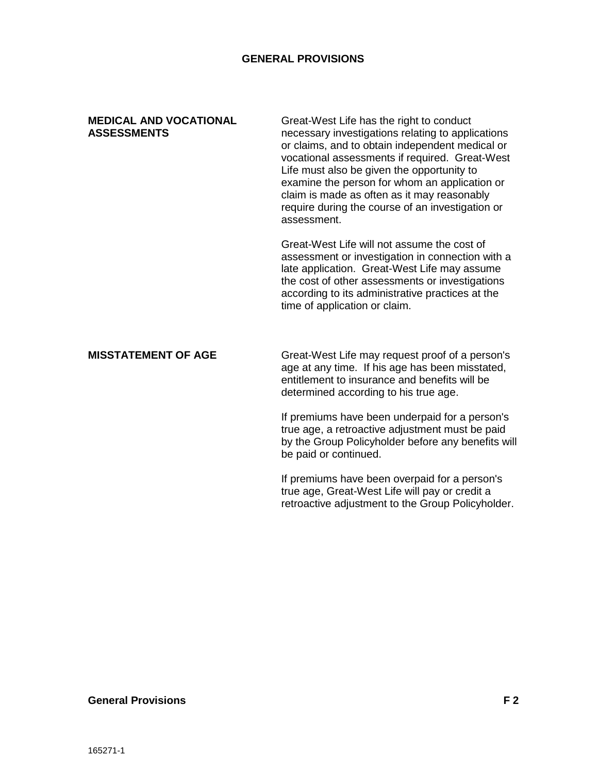#### <span id="page-48-0"></span>**MEDICAL AND VOCATIONAL ASSESSMENTS**

Great-West Life has the right to conduct necessary investigations relating to applications or claims, and to obtain independent medical or vocational assessments if required. Great-West Life must also be given the opportunity to examine the person for whom an application or claim is made as often as it may reasonably require during the course of an investigation or assessment.

Great-West Life will not assume the cost of assessment or investigation in connection with a late application. Great-West Life may assume the cost of other assessments or investigations according to its administrative practices at the time of application or claim.

#### <span id="page-48-1"></span>**MISSTATEMENT OF AGE**

Great-West Life may request proof of a person's age at any time. If his age has been misstated, entitlement to insurance and benefits will be determined according to his true age.

If premiums have been underpaid for a person's true age, a retroactive adjustment must be paid by the Group Policyholder before any benefits will be paid or continued.

If premiums have been overpaid for a person's true age, Great-West Life will pay or credit a retroactive adjustment to the Group Policyholder.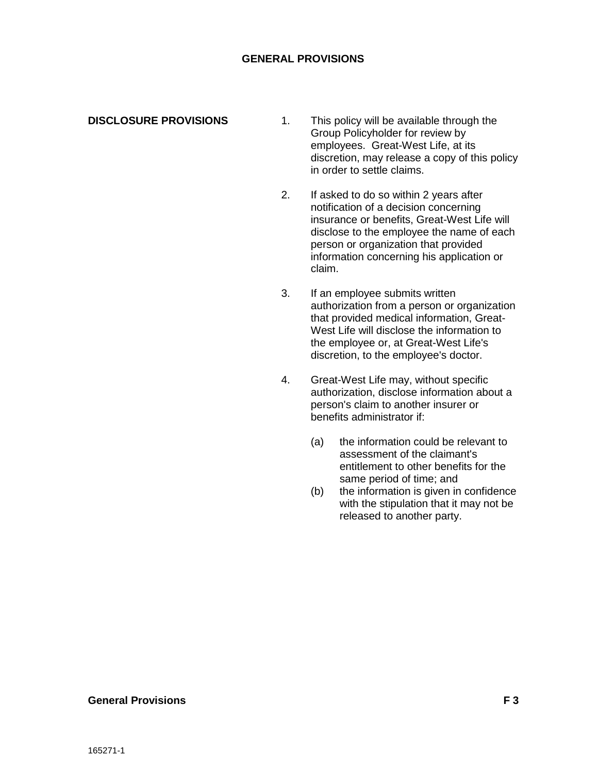<span id="page-49-0"></span>**DISCLOSURE PROVISIONS**

- 1. This policy will be available through the Group Policyholder for review by employees. Great-West Life, at its discretion, may release a copy of this policy in order to settle claims.
- 2. If asked to do so within 2 years after notification of a decision concerning insurance or benefits, Great-West Life will disclose to the employee the name of each person or organization that provided information concerning his application or claim.
- 3. If an employee submits written authorization from a person or organization that provided medical information, Great-West Life will disclose the information to the employee or, at Great-West Life's discretion, to the employee's doctor.
- 4. Great-West Life may, without specific authorization, disclose information about a person's claim to another insurer or benefits administrator if:
	- (a) the information could be relevant to assessment of the claimant's entitlement to other benefits for the same period of time; and
	- (b) the information is given in confidence with the stipulation that it may not be released to another party.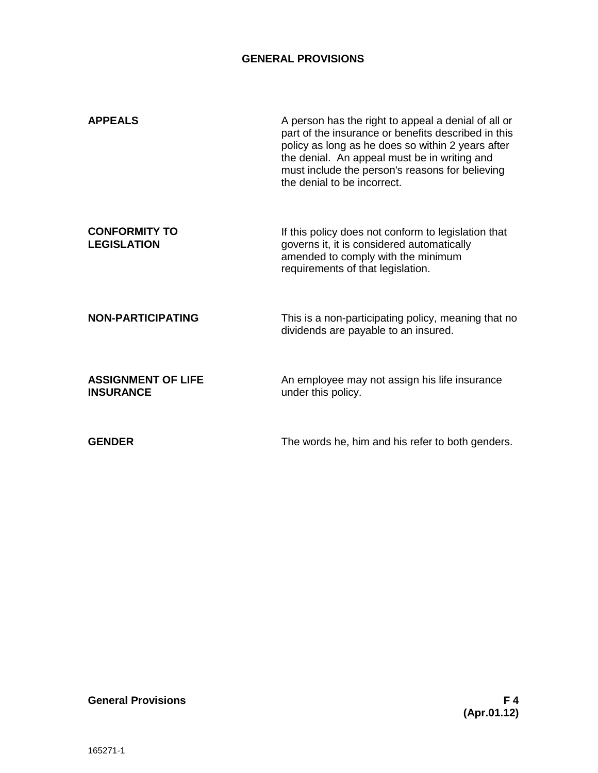<span id="page-50-3"></span><span id="page-50-2"></span><span id="page-50-1"></span><span id="page-50-0"></span>

| <b>APPEALS</b>                                | A person has the right to appeal a denial of all or<br>part of the insurance or benefits described in this<br>policy as long as he does so within 2 years after<br>the denial. An appeal must be in writing and<br>must include the person's reasons for believing<br>the denial to be incorrect. |
|-----------------------------------------------|---------------------------------------------------------------------------------------------------------------------------------------------------------------------------------------------------------------------------------------------------------------------------------------------------|
| <b>CONFORMITY TO</b><br><b>LEGISLATION</b>    | If this policy does not conform to legislation that<br>governs it, it is considered automatically<br>amended to comply with the minimum<br>requirements of that legislation.                                                                                                                      |
| <b>NON-PARTICIPATING</b>                      | This is a non-participating policy, meaning that no<br>dividends are payable to an insured.                                                                                                                                                                                                       |
| <b>ASSIGNMENT OF LIFE</b><br><b>INSURANCE</b> | An employee may not assign his life insurance<br>under this policy.                                                                                                                                                                                                                               |
| <b>GENDER</b>                                 | The words he, him and his refer to both genders.                                                                                                                                                                                                                                                  |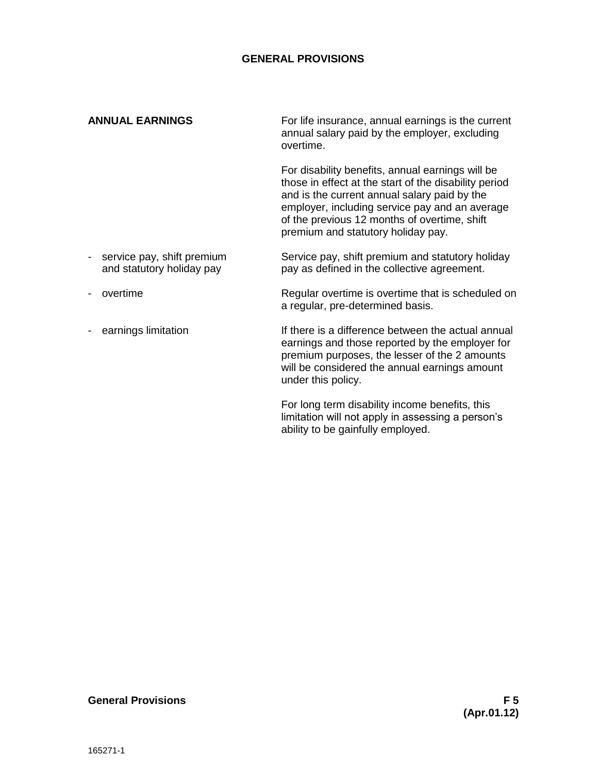#### **ANNUAL EARNINGS**

For life insurance, annual earnings is the current annual salary paid by the employer, excluding overtime.

For disability benefits, annual earnings will be those in effect at the start of the disability period and is the current annual salary paid by the employer, including service pay and an average of the previous 12 months of overtime, shift premium and statutory holiday pay.

- Service pay, shift premium and statutory holiday pay as defined in the collective agreement. - service pay, shift premium and statutory holiday pay
- overtime
- earnings limitation

Regular overtime is overtime that is scheduled on a regular, pre-determined basis.

If there is a difference between the actual annual earnings and those reported by the employer for premium purposes, the lesser of the 2 amounts will be considered the annual earnings amount under this policy.

For long term disability income benefits, this limitation will not apply in assessing a person's ability to be gainfully employed.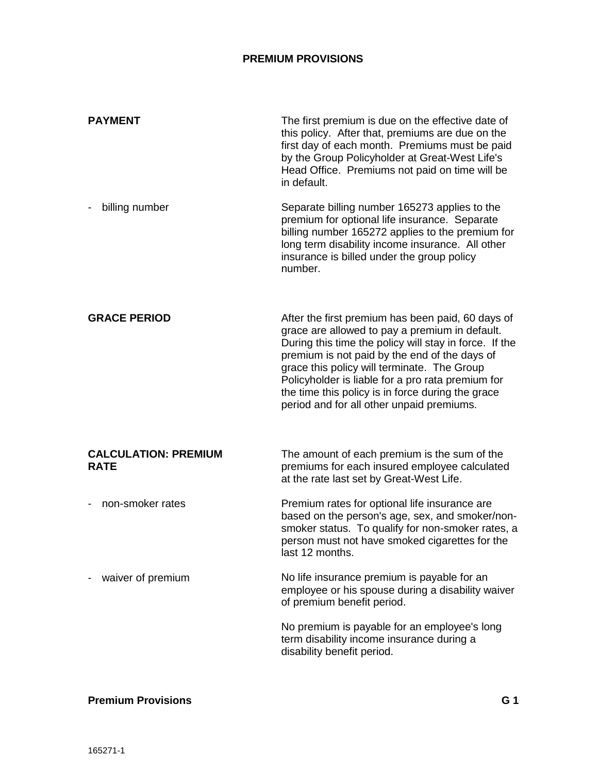<span id="page-52-2"></span><span id="page-52-1"></span><span id="page-52-0"></span>

| <b>PAYMENT</b>                             | The first premium is due on the effective date of<br>this policy. After that, premiums are due on the<br>first day of each month. Premiums must be paid<br>by the Group Policyholder at Great-West Life's<br>Head Office. Premiums not paid on time will be<br>in default.                                                                                                                                           |
|--------------------------------------------|----------------------------------------------------------------------------------------------------------------------------------------------------------------------------------------------------------------------------------------------------------------------------------------------------------------------------------------------------------------------------------------------------------------------|
| billing number                             | Separate billing number 165273 applies to the<br>premium for optional life insurance. Separate<br>billing number 165272 applies to the premium for<br>long term disability income insurance. All other<br>insurance is billed under the group policy<br>number.                                                                                                                                                      |
| <b>GRACE PERIOD</b>                        | After the first premium has been paid, 60 days of<br>grace are allowed to pay a premium in default.<br>During this time the policy will stay in force. If the<br>premium is not paid by the end of the days of<br>grace this policy will terminate. The Group<br>Policyholder is liable for a pro rata premium for<br>the time this policy is in force during the grace<br>period and for all other unpaid premiums. |
| <b>CALCULATION: PREMIUM</b><br><b>RATE</b> | The amount of each premium is the sum of the<br>premiums for each insured employee calculated<br>at the rate last set by Great-West Life.                                                                                                                                                                                                                                                                            |
| non-smoker rates                           | Premium rates for optional life insurance are<br>based on the person's age, sex, and smoker/non-<br>smoker status. To qualify for non-smoker rates, a<br>person must not have smoked cigarettes for the<br>last 12 months.                                                                                                                                                                                           |
| waiver of premium                          | No life insurance premium is payable for an<br>employee or his spouse during a disability waiver<br>of premium benefit period.                                                                                                                                                                                                                                                                                       |
|                                            | No premium is payable for an employee's long<br>term disability income insurance during a<br>disability benefit period.                                                                                                                                                                                                                                                                                              |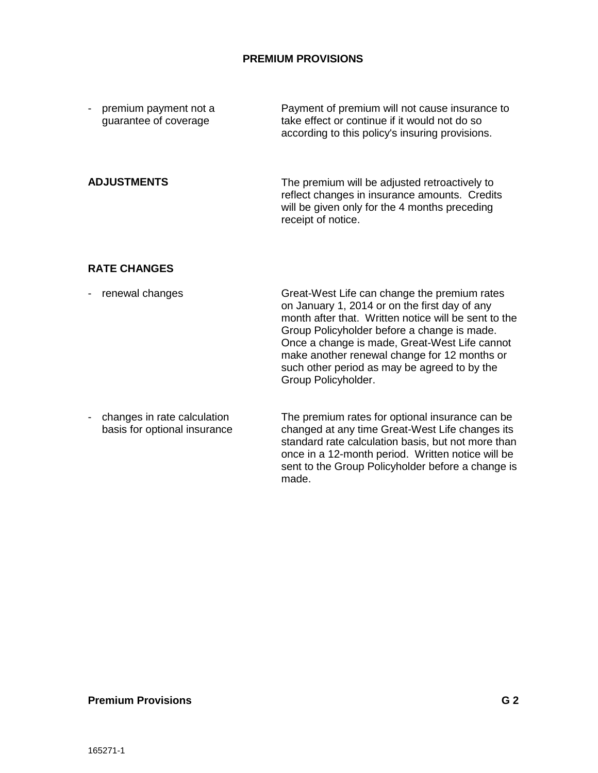<span id="page-53-0"></span>

| premium payment not a    | Payment of premium will not cause insurance to                                                                                                  |
|--------------------------|-------------------------------------------------------------------------------------------------------------------------------------------------|
| $\overline{\phantom{a}}$ | take effect or continue if it would not do so                                                                                                   |
| guarantee of coverage    | according to this policy's insuring provisions.                                                                                                 |
| <b>ADJUSTMENTS</b>       | The premium will be adjusted retroactively to<br>reflect changes in insurance amounts. Credits<br>will be given only for the 4 months preceding |

receipt of notice.

#### <span id="page-53-1"></span>**RATE CHANGES**

- Great-West Life can change the premium rates on January 1, 2014 or on the first day of any month after that. Written notice will be sent to the Group Policyholder before a change is made. Once a change is made, Great-West Life cannot make another renewal change for 12 months or such other period as may be agreed to by the Group Policyholder. - renewal changes
- The premium rates for optional insurance can be changed at any time Great-West Life changes its standard rate calculation basis, but not more than once in a 12-month period. Written notice will be sent to the Group Policyholder before a change is made. - changes in rate calculation basis for optional insurance

#### **Premium Provisions G 2**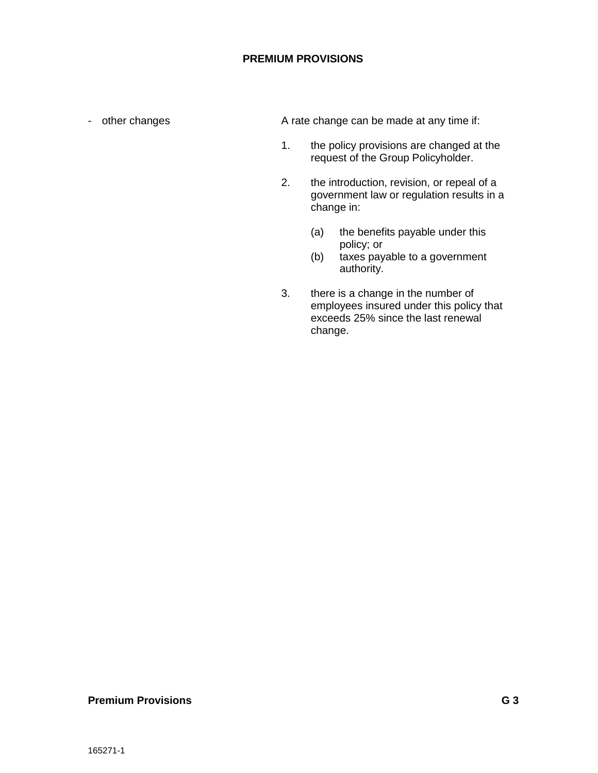- other changes

A rate change can be made at any time if:

- 1. the policy provisions are changed at the request of the Group Policyholder.
- 2. the introduction, revision, or repeal of a government law or regulation results in a change in:
	- (a) the benefits payable under this policy; or
	- (b) taxes payable to a government authority.
- 3. there is a change in the number of employees insured under this policy that exceeds 25% since the last renewal change.

#### **Premium Provisions G 3**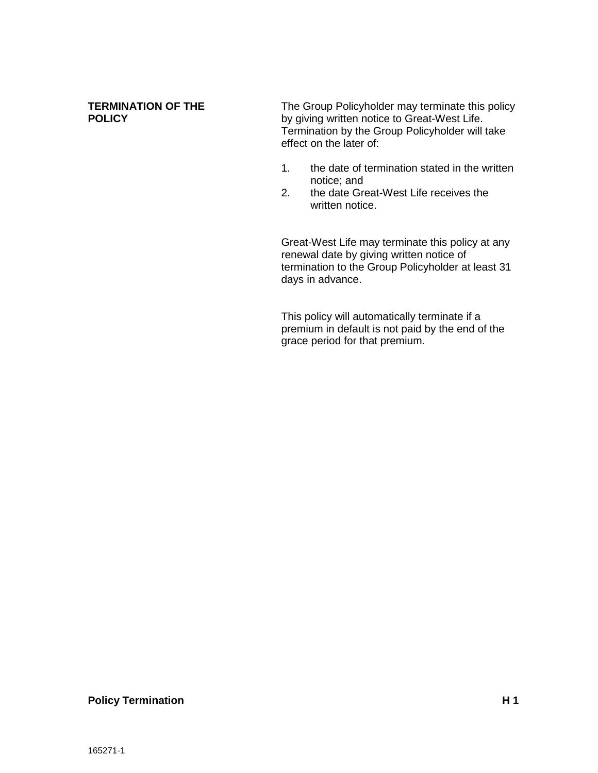#### **TERMINATION OF THE POLICY**

The Group Policyholder may terminate this policy by giving written notice to Great-West Life. Termination by the Group Policyholder will take effect on the later of:

- 1. the date of termination stated in the written notice; and
- 2. the date Great-West Life receives the written notice.

Great-West Life may terminate this policy at any renewal date by giving written notice of termination to the Group Policyholder at least 31 days in advance.

This policy will automatically terminate if a premium in default is not paid by the end of the grace period for that premium.

#### **Policy Termination H1**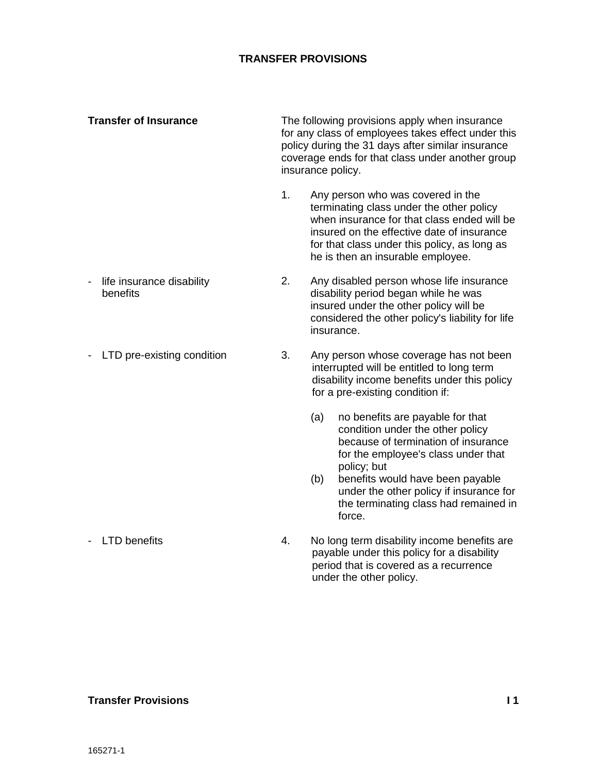# **TRANSFER PROVISIONS**

The following provisions apply when insurance for any class of employees takes effect under this policy during the 31 days after similar insurance coverage ends for that class under another group insurance policy. **Transfer of Insurance**

> 1. Any person who was covered in the terminating class under the other policy when insurance for that class ended will be insured on the effective date of insurance for that class under this policy, as long as he is then an insurable employee.

> > interrupted will be entitled to long term disability income benefits under this policy

(a) no benefits are payable for that condition under the other policy because of termination of insurance for the employee's class under that

for a pre-existing condition if:

- 2. Any disabled person whose life insurance disability period began while he was insured under the other policy will be considered the other policy's liability for life insurance. - life insurance disability benefits
- 3. Any person whose coverage has not been - LTD pre-existing condition

- policy; but (b) benefits would have been payable under the other policy if insurance for the terminating class had remained in
- 4. No long term disability income benefits are payable under this policy for a disability period that is covered as a recurrence under the other policy.

force.

#### **Transfer Provisions I 1**

- LTD benefits